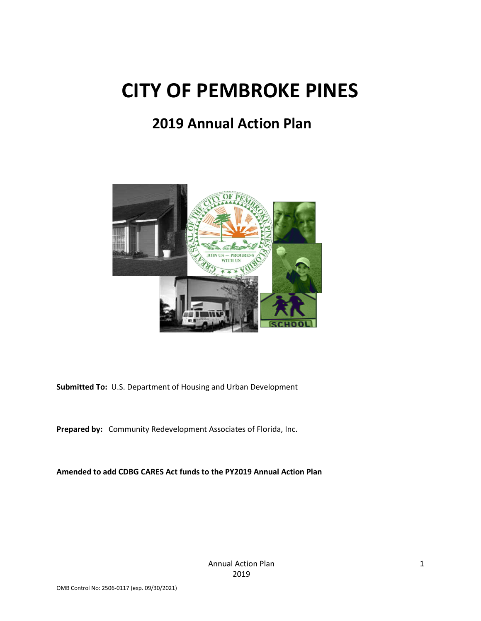# **CITY OF PEMBROKE PINES**

# **2019 Annual Action Plan**



**Submitted To:** U.S. Department of Housing and Urban Development

**Prepared by:** Community Redevelopment Associates of Florida, Inc.

**Amended to add CDBG CARES Act funds to the PY2019 Annual Action Plan**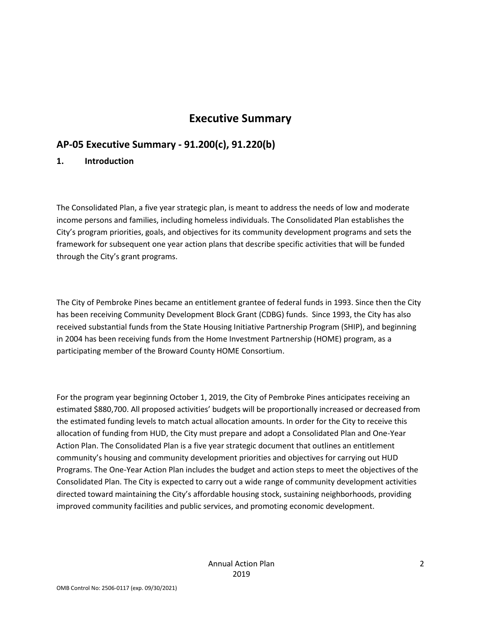# **Executive Summary**

# **AP-05 Executive Summary - 91.200(c), 91.220(b)**

#### **1. Introduction**

The Consolidated Plan, a five year strategic plan, is meant to address the needs of low and moderate income persons and families, including homeless individuals. The Consolidated Plan establishes the City's program priorities, goals, and objectives for its community development programs and sets the framework for subsequent one year action plans that describe specific activities that will be funded through the City's grant programs.

The City of Pembroke Pines became an entitlement grantee of federal funds in 1993. Since then the City has been receiving Community Development Block Grant (CDBG) funds. Since 1993, the City has also received substantial funds from the State Housing Initiative Partnership Program (SHIP), and beginning in 2004 has been receiving funds from the Home Investment Partnership (HOME) program, as a participating member of the Broward County HOME Consortium.

For the program year beginning October 1, 2019, the City of Pembroke Pines anticipates receiving an estimated \$880,700. All proposed activities' budgets will be proportionally increased or decreased from the estimated funding levels to match actual allocation amounts. In order for the City to receive this allocation of funding from HUD, the City must prepare and adopt a Consolidated Plan and One-Year Action Plan. The Consolidated Plan is a five year strategic document that outlines an entitlement community's housing and community development priorities and objectives for carrying out HUD Programs. The One-Year Action Plan includes the budget and action steps to meet the objectives of the Consolidated Plan. The City is expected to carry out a wide range of community development activities directed toward maintaining the City's affordable housing stock, sustaining neighborhoods, providing improved community facilities and public services, and promoting economic development.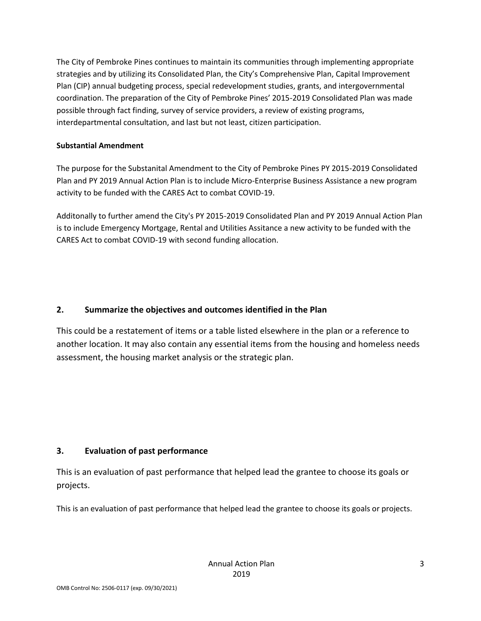The City of Pembroke Pines continues to maintain its communities through implementing appropriate strategies and by utilizing its Consolidated Plan, the City's Comprehensive Plan, Capital Improvement Plan (CIP) annual budgeting process, special redevelopment studies, grants, and intergovernmental coordination. The preparation of the City of Pembroke Pines' 2015-2019 Consolidated Plan was made possible through fact finding, survey of service providers, a review of existing programs, interdepartmental consultation, and last but not least, citizen participation.

#### **Substantial Amendment**

The purpose for the Substanital Amendment to the City of Pembroke Pines PY 2015-2019 Consolidated Plan and PY 2019 Annual Action Plan is to include Micro-Enterprise Business Assistance a new program activity to be funded with the CARES Act to combat COVID-19.

Additonally to further amend the City's PY 2015-2019 Consolidated Plan and PY 2019 Annual Action Plan is to include Emergency Mortgage, Rental and Utilities Assitance a new activity to be funded with the CARES Act to combat COVID-19 with second funding allocation.

#### **2. Summarize the objectives and outcomes identified in the Plan**

This could be a restatement of items or a table listed elsewhere in the plan or a reference to another location. It may also contain any essential items from the housing and homeless needs assessment, the housing market analysis or the strategic plan.

#### **3. Evaluation of past performance**

This is an evaluation of past performance that helped lead the grantee to choose its goals or projects.

This is an evaluation of past performance that helped lead the grantee to choose its goals or projects.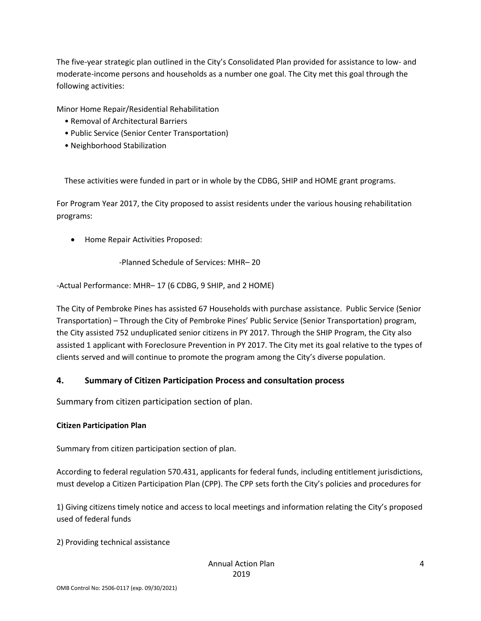The five-year strategic plan outlined in the City's Consolidated Plan provided for assistance to low- and moderate-income persons and households as a number one goal. The City met this goal through the following activities:

Minor Home Repair/Residential Rehabilitation

- Removal of Architectural Barriers
- Public Service (Senior Center Transportation)
- Neighborhood Stabilization

These activities were funded in part or in whole by the CDBG, SHIP and HOME grant programs.

For Program Year 2017, the City proposed to assist residents under the various housing rehabilitation programs:

• Home Repair Activities Proposed:

-Planned Schedule of Services: MHR– 20

-Actual Performance: MHR– 17 (6 CDBG, 9 SHIP, and 2 HOME)

The City of Pembroke Pines has assisted 67 Households with purchase assistance. Public Service (Senior Transportation) – Through the City of Pembroke Pines' Public Service (Senior Transportation) program, the City assisted 752 unduplicated senior citizens in PY 2017. Through the SHIP Program, the City also assisted 1 applicant with Foreclosure Prevention in PY 2017. The City met its goal relative to the types of clients served and will continue to promote the program among the City's diverse population.

#### **4. Summary of Citizen Participation Process and consultation process**

Summary from citizen participation section of plan.

#### **Citizen Participation Plan**

Summary from citizen participation section of plan.

According to federal regulation 570.431, applicants for federal funds, including entitlement jurisdictions, must develop a Citizen Participation Plan (CPP). The CPP sets forth the City's policies and procedures for

1) Giving citizens timely notice and access to local meetings and information relating the City's proposed used of federal funds

2) Providing technical assistance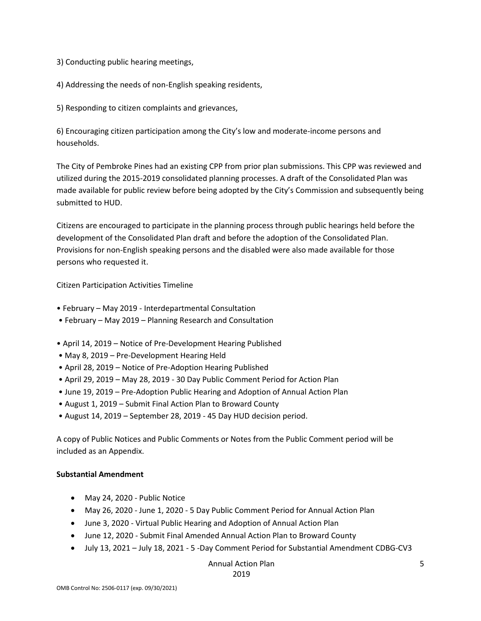3) Conducting public hearing meetings,

4) Addressing the needs of non-English speaking residents,

5) Responding to citizen complaints and grievances,

6) Encouraging citizen participation among the City's low and moderate-income persons and households.

The City of Pembroke Pines had an existing CPP from prior plan submissions. This CPP was reviewed and utilized during the 2015-2019 consolidated planning processes. A draft of the Consolidated Plan was made available for public review before being adopted by the City's Commission and subsequently being submitted to HUD.

Citizens are encouraged to participate in the planning process through public hearings held before the development of the Consolidated Plan draft and before the adoption of the Consolidated Plan. Provisions for non-English speaking persons and the disabled were also made available for those persons who requested it.

Citizen Participation Activities Timeline

- February May 2019 Interdepartmental Consultation
- February May 2019 Planning Research and Consultation
- April 14, 2019 Notice of Pre-Development Hearing Published
- May 8, 2019 Pre-Development Hearing Held
- April 28, 2019 Notice of Pre-Adoption Hearing Published
- April 29, 2019 May 28, 2019 30 Day Public Comment Period for Action Plan
- June 19, 2019 Pre-Adoption Public Hearing and Adoption of Annual Action Plan
- August 1, 2019 Submit Final Action Plan to Broward County
- August 14, 2019 September 28, 2019 45 Day HUD decision period.

A copy of Public Notices and Public Comments or Notes from the Public Comment period will be included as an Appendix.

#### **Substantial Amendment**

- May 24, 2020 Public Notice
- May 26, 2020 June 1, 2020 5 Day Public Comment Period for Annual Action Plan
- June 3, 2020 Virtual Public Hearing and Adoption of Annual Action Plan
- June 12, 2020 Submit Final Amended Annual Action Plan to Broward County
- July 13, 2021 July 18, 2021 5 -Day Comment Period for Substantial Amendment CDBG-CV3

Annual Action Plan

2019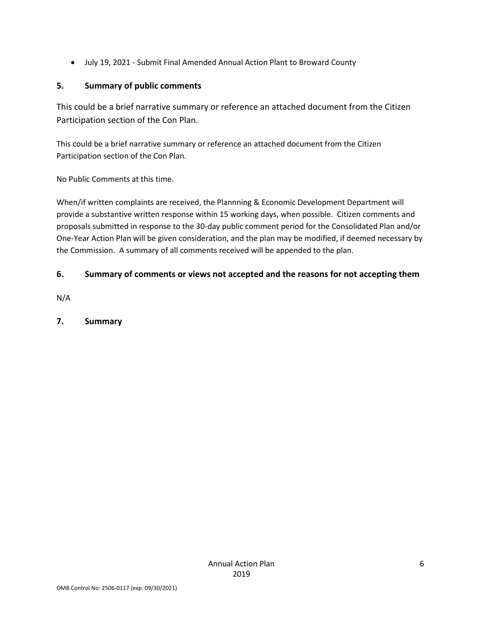• July 19, 2021 - Submit Final Amended Annual Action Plant to Broward County

# **5. Summary of public comments**

This could be a brief narrative summary or reference an attached document from the Citizen Participation section of the Con Plan.

This could be a brief narrative summary or reference an attached document from the Citizen Participation section of the Con Plan.

No Public Comments at this time.

When/if written complaints are received, the Plannning & Economic Development Department will provide a substantive written response within 15 working days, when possible. Citizen comments and proposals submitted in response to the 30-day public comment period for the Consolidated Plan and/or One-Year Action Plan will be given consideration, and the plan may be modified, if deemed necessary by the Commission. A summary of all comments received will be appended to the plan.

# **6. Summary of comments or views not accepted and the reasons for not accepting them**

N/A

# **7. Summary**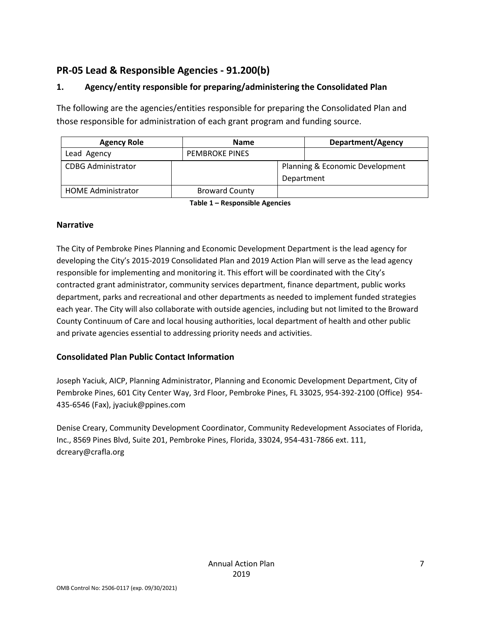# **PR-05 Lead & Responsible Agencies - 91.200(b)**

# **1. Agency/entity responsible for preparing/administering the Consolidated Plan**

The following are the agencies/entities responsible for preparing the Consolidated Plan and those responsible for administration of each grant program and funding source.

| <b>Agency Role</b>        | <b>Name</b>           |            | <b>Department/Agency</b>        |  |  |
|---------------------------|-----------------------|------------|---------------------------------|--|--|
| Lead Agency               | <b>PEMBROKE PINES</b> |            |                                 |  |  |
| <b>CDBG Administrator</b> |                       | Department | Planning & Economic Development |  |  |
| <b>HOME Administrator</b> | <b>Broward County</b> |            |                                 |  |  |

**Table 1 – Responsible Agencies**

#### **Narrative**

The City of Pembroke Pines Planning and Economic Development Department is the lead agency for developing the City's 2015-2019 Consolidated Plan and 2019 Action Plan will serve as the lead agency responsible for implementing and monitoring it. This effort will be coordinated with the City's contracted grant administrator, community services department, finance department, public works department, parks and recreational and other departments as needed to implement funded strategies each year. The City will also collaborate with outside agencies, including but not limited to the Broward County Continuum of Care and local housing authorities, local department of health and other public and private agencies essential to addressing priority needs and activities.

#### **Consolidated Plan Public Contact Information**

Joseph Yaciuk, AICP, Planning Administrator, Planning and Economic Development Department, City of Pembroke Pines, 601 City Center Way, 3rd Floor, Pembroke Pines, FL 33025, 954-392-2100 (Office) 954- 435-6546 (Fax), jyaciuk@ppines.com

Denise Creary, Community Development Coordinator, Community Redevelopment Associates of Florida, Inc., 8569 Pines Blvd, Suite 201, Pembroke Pines, Florida, 33024, 954-431-7866 ext. 111, dcreary@crafla.org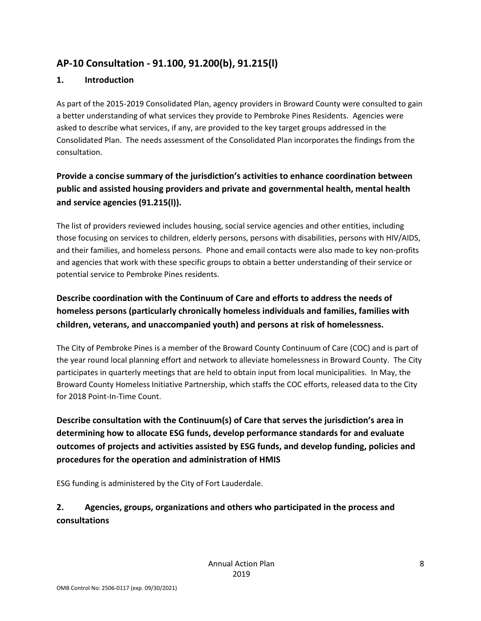# **AP-10 Consultation - 91.100, 91.200(b), 91.215(l)**

#### **1. Introduction**

As part of the 2015-2019 Consolidated Plan, agency providers in Broward County were consulted to gain a better understanding of what services they provide to Pembroke Pines Residents. Agencies were asked to describe what services, if any, are provided to the key target groups addressed in the Consolidated Plan. The needs assessment of the Consolidated Plan incorporates the findings from the consultation.

# **Provide a concise summary of the jurisdiction's activities to enhance coordination between public and assisted housing providers and private and governmental health, mental health and service agencies (91.215(l)).**

The list of providers reviewed includes housing, social service agencies and other entities, including those focusing on services to children, elderly persons, persons with disabilities, persons with HIV/AIDS, and their families, and homeless persons. Phone and email contacts were also made to key non-profits and agencies that work with these specific groups to obtain a better understanding of their service or potential service to Pembroke Pines residents.

# **Describe coordination with the Continuum of Care and efforts to address the needs of homeless persons (particularly chronically homeless individuals and families, families with children, veterans, and unaccompanied youth) and persons at risk of homelessness.**

The City of Pembroke Pines is a member of the Broward County Continuum of Care (COC) and is part of the year round local planning effort and network to alleviate homelessness in Broward County. The City participates in quarterly meetings that are held to obtain input from local municipalities. In May, the Broward County Homeless Initiative Partnership, which staffs the COC efforts, released data to the City for 2018 Point-In-Time Count.

**Describe consultation with the Continuum(s) of Care that serves the jurisdiction's area in determining how to allocate ESG funds, develop performance standards for and evaluate outcomes of projects and activities assisted by ESG funds, and develop funding, policies and procedures for the operation and administration of HMIS**

ESG funding is administered by the City of Fort Lauderdale.

# **2. Agencies, groups, organizations and others who participated in the process and consultations**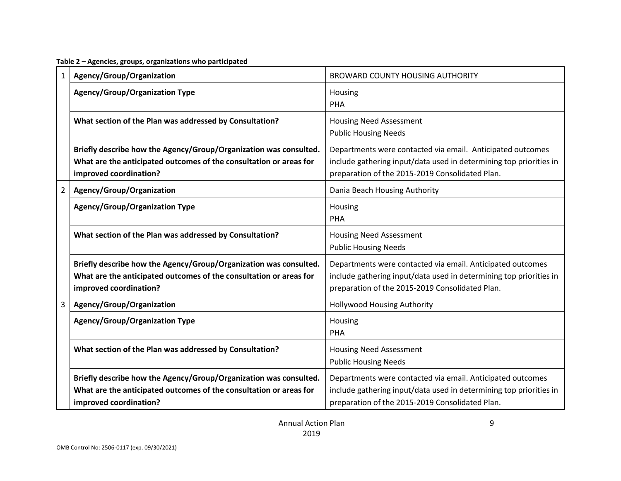**Table 2 – Agencies, groups, organizations who participated**

| 1              | Agency/Group/Organization                                                                                                                                         | <b>BROWARD COUNTY HOUSING AUTHORITY</b>                                                                                                                                             |
|----------------|-------------------------------------------------------------------------------------------------------------------------------------------------------------------|-------------------------------------------------------------------------------------------------------------------------------------------------------------------------------------|
|                | <b>Agency/Group/Organization Type</b>                                                                                                                             | Housing<br>PHA                                                                                                                                                                      |
|                | What section of the Plan was addressed by Consultation?                                                                                                           | <b>Housing Need Assessment</b><br><b>Public Housing Needs</b>                                                                                                                       |
|                | Briefly describe how the Agency/Group/Organization was consulted.<br>What are the anticipated outcomes of the consultation or areas for<br>improved coordination? | Departments were contacted via email. Anticipated outcomes<br>include gathering input/data used in determining top priorities in<br>preparation of the 2015-2019 Consolidated Plan. |
| $\overline{2}$ | Agency/Group/Organization                                                                                                                                         | Dania Beach Housing Authority                                                                                                                                                       |
|                | <b>Agency/Group/Organization Type</b>                                                                                                                             | Housing<br>PHA                                                                                                                                                                      |
|                | What section of the Plan was addressed by Consultation?                                                                                                           | <b>Housing Need Assessment</b><br><b>Public Housing Needs</b>                                                                                                                       |
|                | Briefly describe how the Agency/Group/Organization was consulted.<br>What are the anticipated outcomes of the consultation or areas for<br>improved coordination? | Departments were contacted via email. Anticipated outcomes<br>include gathering input/data used in determining top priorities in<br>preparation of the 2015-2019 Consolidated Plan. |
| 3              | Agency/Group/Organization                                                                                                                                         | <b>Hollywood Housing Authority</b>                                                                                                                                                  |
|                | <b>Agency/Group/Organization Type</b>                                                                                                                             | Housing<br>PHA                                                                                                                                                                      |
|                | What section of the Plan was addressed by Consultation?                                                                                                           | <b>Housing Need Assessment</b><br><b>Public Housing Needs</b>                                                                                                                       |
|                | Briefly describe how the Agency/Group/Organization was consulted.<br>What are the anticipated outcomes of the consultation or areas for<br>improved coordination? | Departments were contacted via email. Anticipated outcomes<br>include gathering input/data used in determining top priorities in<br>preparation of the 2015-2019 Consolidated Plan. |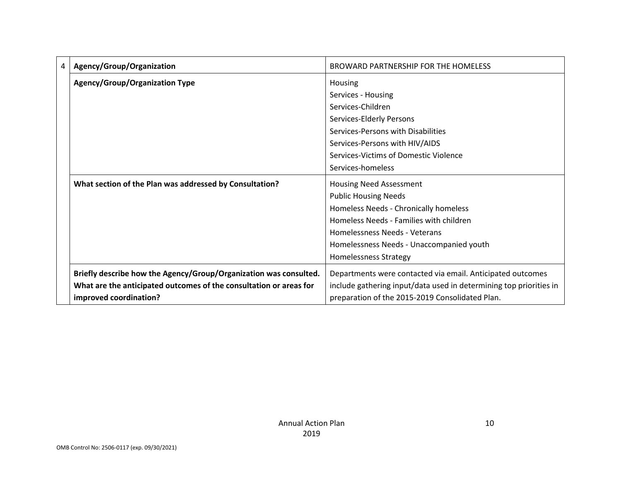| 4 | Agency/Group/Organization                                          | BROWARD PARTNERSHIP FOR THE HOMELESS                               |
|---|--------------------------------------------------------------------|--------------------------------------------------------------------|
|   | <b>Agency/Group/Organization Type</b>                              | Housing                                                            |
|   |                                                                    | Services - Housing                                                 |
|   |                                                                    | Services-Children                                                  |
|   |                                                                    | Services-Elderly Persons                                           |
|   |                                                                    | Services-Persons with Disabilities                                 |
|   |                                                                    | Services-Persons with HIV/AIDS                                     |
|   |                                                                    | Services-Victims of Domestic Violence                              |
|   |                                                                    | Services-homeless                                                  |
|   | What section of the Plan was addressed by Consultation?            | Housing Need Assessment                                            |
|   |                                                                    | <b>Public Housing Needs</b>                                        |
|   |                                                                    | Homeless Needs - Chronically homeless                              |
|   |                                                                    | Homeless Needs - Families with children                            |
|   |                                                                    | Homelessness Needs - Veterans                                      |
|   |                                                                    | Homelessness Needs - Unaccompanied youth                           |
|   |                                                                    | Homelessness Strategy                                              |
|   | Briefly describe how the Agency/Group/Organization was consulted.  | Departments were contacted via email. Anticipated outcomes         |
|   | What are the anticipated outcomes of the consultation or areas for | include gathering input/data used in determining top priorities in |
|   | improved coordination?                                             | preparation of the 2015-2019 Consolidated Plan.                    |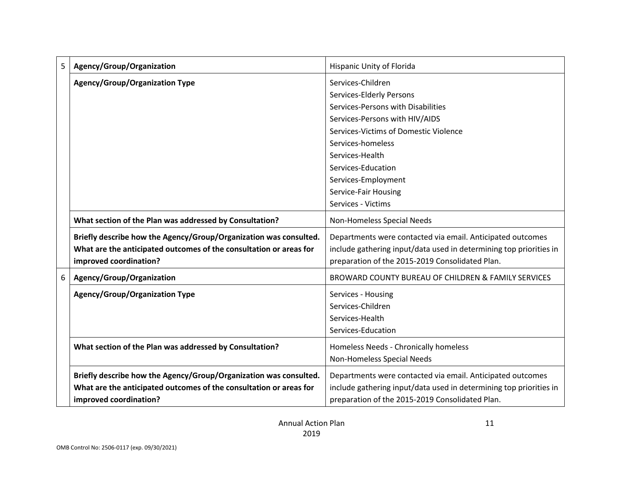| 5 | Agency/Group/Organization                                                                                                                                         | Hispanic Unity of Florida                                                                                                                                                                                                                                                   |
|---|-------------------------------------------------------------------------------------------------------------------------------------------------------------------|-----------------------------------------------------------------------------------------------------------------------------------------------------------------------------------------------------------------------------------------------------------------------------|
|   | <b>Agency/Group/Organization Type</b>                                                                                                                             | Services-Children<br>Services-Elderly Persons<br>Services-Persons with Disabilities<br>Services-Persons with HIV/AIDS<br>Services-Victims of Domestic Violence<br>Services-homeless<br>Services-Health<br>Services-Education<br>Services-Employment<br>Service-Fair Housing |
|   |                                                                                                                                                                   | Services - Victims                                                                                                                                                                                                                                                          |
|   | What section of the Plan was addressed by Consultation?                                                                                                           | Non-Homeless Special Needs                                                                                                                                                                                                                                                  |
|   | Briefly describe how the Agency/Group/Organization was consulted.<br>What are the anticipated outcomes of the consultation or areas for<br>improved coordination? | Departments were contacted via email. Anticipated outcomes<br>include gathering input/data used in determining top priorities in<br>preparation of the 2015-2019 Consolidated Plan.                                                                                         |
| 6 | Agency/Group/Organization                                                                                                                                         | BROWARD COUNTY BUREAU OF CHILDREN & FAMILY SERVICES                                                                                                                                                                                                                         |
|   | <b>Agency/Group/Organization Type</b>                                                                                                                             | Services - Housing<br>Services-Children<br>Services-Health<br>Services-Education                                                                                                                                                                                            |
|   | What section of the Plan was addressed by Consultation?                                                                                                           | Homeless Needs - Chronically homeless<br>Non-Homeless Special Needs                                                                                                                                                                                                         |
|   | Briefly describe how the Agency/Group/Organization was consulted.<br>What are the anticipated outcomes of the consultation or areas for<br>improved coordination? | Departments were contacted via email. Anticipated outcomes<br>include gathering input/data used in determining top priorities in<br>preparation of the 2015-2019 Consolidated Plan.                                                                                         |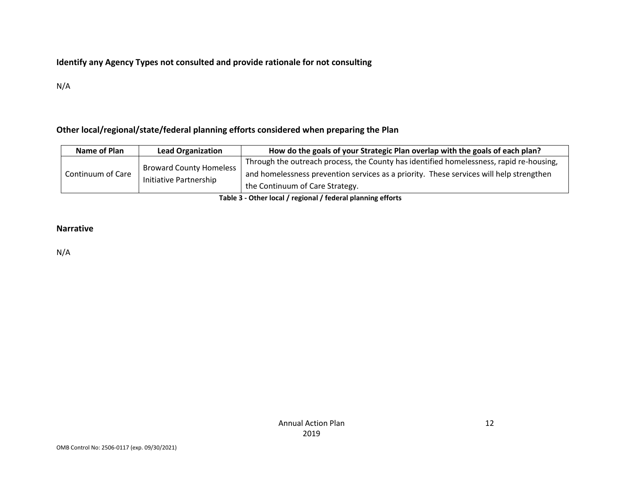#### **Identify any Agency Types not consulted and provide rationale for not consulting**

N/A

#### **Other local/regional/state/federal planning efforts considered when preparing the Plan**

| Name of Plan      | <b>Lead Organization</b>                                 | How do the goals of your Strategic Plan overlap with the goals of each plan?                                                                                                                                          |  |  |  |  |
|-------------------|----------------------------------------------------------|-----------------------------------------------------------------------------------------------------------------------------------------------------------------------------------------------------------------------|--|--|--|--|
| Continuum of Care | <b>Broward County Homeless</b><br>Initiative Partnership | Through the outreach process, the County has identified homelessness, rapid re-housing,<br>and homelessness prevention services as a priority. These services will help strengthen<br>the Continuum of Care Strategy. |  |  |  |  |
|                   |                                                          |                                                                                                                                                                                                                       |  |  |  |  |

**Table 3 - Other local / regional / federal planning efforts**

#### **Narrative**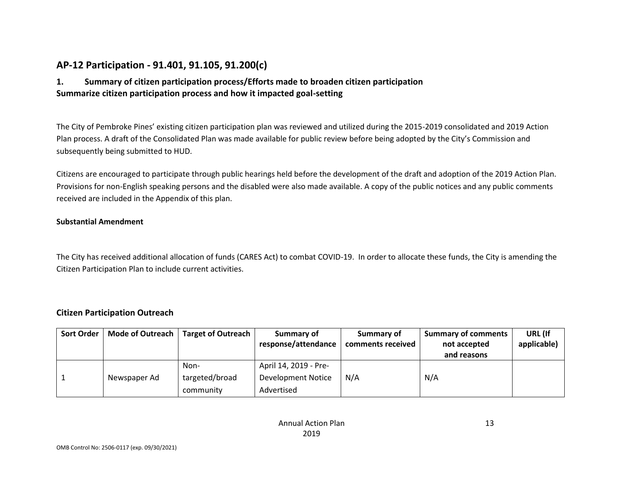# **AP-12 Participation - 91.401, 91.105, 91.200(c)**

### **1. Summary of citizen participation process/Efforts made to broaden citizen participation Summarize citizen participation process and how it impacted goal-setting**

The City of Pembroke Pines' existing citizen participation plan was reviewed and utilized during the 2015-2019 consolidated and 2019 Action Plan process. A draft of the Consolidated Plan was made available for public review before being adopted by the City's Commission and subsequently being submitted to HUD.

Citizens are encouraged to participate through public hearings held before the development of the draft and adoption of the 2019 Action Plan. Provisions for non-English speaking persons and the disabled were also made available. A copy of the public notices and any public comments received are included in the Appendix of this plan.

#### **Substantial Amendment**

The City has received additional allocation of funds (CARES Act) to combat COVID-19. In order to allocate these funds, the City is amending the Citizen Participation Plan to include current activities.

#### **Citizen Participation Outreach**

| <b>Sort Order</b> | Mode of Outreach | <b>Target of Outreach</b> | Summary of<br>response/attendance | Summary of<br>comments received | <b>Summary of comments</b><br>not accepted<br>and reasons | URL (If<br>applicable) |
|-------------------|------------------|---------------------------|-----------------------------------|---------------------------------|-----------------------------------------------------------|------------------------|
|                   |                  | Non-                      | April 14, 2019 - Pre-             |                                 |                                                           |                        |
|                   | Newspaper Ad     | targeted/broad            | <b>Development Notice</b>         | N/A                             | N/A                                                       |                        |
|                   |                  | community                 | Advertised                        |                                 |                                                           |                        |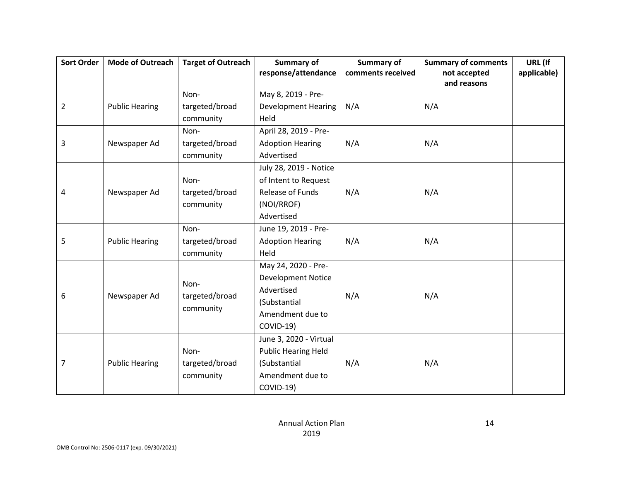| <b>Sort Order</b> | <b>Mode of Outreach</b> | <b>Target of Outreach</b> |                            | Summary of        | <b>Summary of comments</b> | URL (If     |
|-------------------|-------------------------|---------------------------|----------------------------|-------------------|----------------------------|-------------|
|                   |                         |                           | response/attendance        | comments received | not accepted               | applicable) |
|                   |                         |                           |                            |                   | and reasons                |             |
|                   |                         | Non-                      | May 8, 2019 - Pre-         |                   |                            |             |
| $\overline{2}$    | <b>Public Hearing</b>   | targeted/broad            | <b>Development Hearing</b> | N/A               | N/A                        |             |
|                   |                         | community                 | Held                       |                   |                            |             |
|                   |                         | Non-                      | April 28, 2019 - Pre-      |                   |                            |             |
| 3                 | Newspaper Ad            | targeted/broad            | <b>Adoption Hearing</b>    | N/A               | N/A                        |             |
|                   |                         | community                 | Advertised                 |                   |                            |             |
|                   |                         |                           | July 28, 2019 - Notice     |                   |                            |             |
|                   |                         | Non-                      | of Intent to Request       |                   |                            |             |
| 4                 | Newspaper Ad            | targeted/broad            | Release of Funds           | N/A               | N/A                        |             |
|                   |                         | community                 | (NOI/RROF)                 |                   |                            |             |
|                   |                         |                           | Advertised                 |                   |                            |             |
|                   |                         | Non-                      | June 19, 2019 - Pre-       |                   |                            |             |
| 5                 | <b>Public Hearing</b>   | targeted/broad            | <b>Adoption Hearing</b>    | N/A               | N/A                        |             |
|                   |                         | community                 | Held                       |                   |                            |             |
|                   |                         |                           | May 24, 2020 - Pre-        |                   |                            |             |
|                   |                         | Non-                      | <b>Development Notice</b>  |                   |                            |             |
| 6                 | Newspaper Ad            | targeted/broad            | Advertised                 | N/A               | N/A                        |             |
|                   |                         | community                 | (Substantial               |                   |                            |             |
|                   |                         |                           | Amendment due to           |                   |                            |             |
|                   |                         |                           | COVID-19)                  |                   |                            |             |
|                   |                         |                           | June 3, 2020 - Virtual     |                   |                            |             |
|                   |                         | Non-                      | <b>Public Hearing Held</b> |                   |                            |             |
| $\overline{7}$    | <b>Public Hearing</b>   | targeted/broad            | (Substantial               | N/A               | N/A                        |             |
|                   |                         | community                 | Amendment due to           |                   |                            |             |
|                   |                         |                           | COVID-19)                  |                   |                            |             |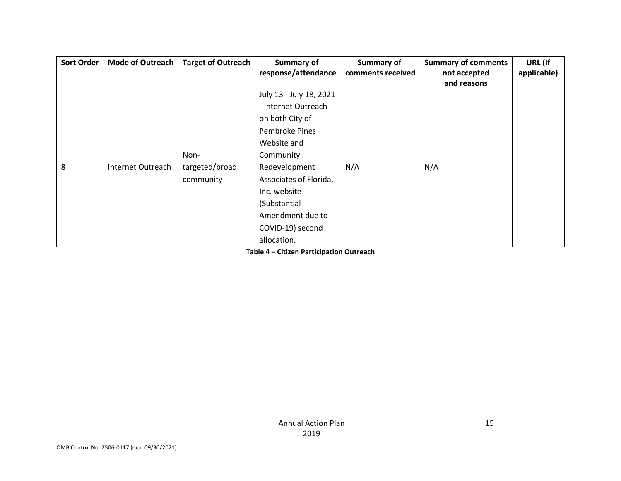| <b>Sort Order</b> | <b>Mode of Outreach</b> | <b>Target of Outreach</b> | <b>Summary of</b>       | Summary of        | <b>Summary of comments</b> | URL (If     |
|-------------------|-------------------------|---------------------------|-------------------------|-------------------|----------------------------|-------------|
|                   |                         |                           | response/attendance     | comments received | not accepted               | applicable) |
|                   |                         |                           |                         |                   | and reasons                |             |
|                   |                         |                           | July 13 - July 18, 2021 |                   |                            |             |
|                   |                         |                           | - Internet Outreach     |                   |                            |             |
|                   |                         |                           | on both City of         |                   |                            |             |
|                   |                         |                           | Pembroke Pines          |                   |                            |             |
|                   |                         |                           | Website and             |                   |                            |             |
|                   |                         | Non-                      | Community               |                   |                            |             |
| 8                 | Internet Outreach       | targeted/broad            | Redevelopment           | N/A               | N/A                        |             |
|                   |                         | community                 | Associates of Florida,  |                   |                            |             |
|                   |                         |                           | Inc. website            |                   |                            |             |
|                   |                         |                           | (Substantial            |                   |                            |             |
|                   |                         |                           | Amendment due to        |                   |                            |             |
|                   |                         |                           | COVID-19) second        |                   |                            |             |
|                   |                         |                           | allocation.             |                   |                            |             |

**Table 4 – Citizen Participation Outreach**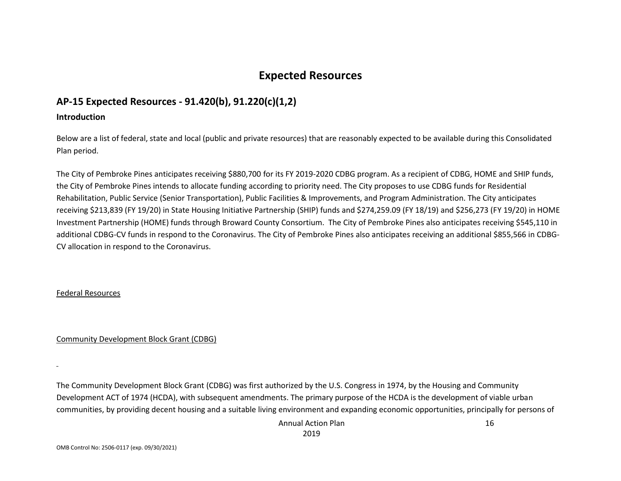# **Expected Resources**

# **AP-15 Expected Resources - 91.420(b), 91.220(c)(1,2)**

#### **Introduction**

Below are a list of federal, state and local (public and private resources) that are reasonably expected to be available during this Consolidated Plan period.

The City of Pembroke Pines anticipates receiving \$880,700 for its FY 2019-2020 CDBG program. As a recipient of CDBG, HOME and SHIP funds, the City of Pembroke Pines intends to allocate funding according to priority need. The City proposes to use CDBG funds for Residential Rehabilitation, Public Service (Senior Transportation), Public Facilities & Improvements, and Program Administration. The City anticipates receiving \$213,839 (FY 19/20) in State Housing Initiative Partnership (SHIP) funds and \$274,259.09 (FY 18/19) and \$256,273 (FY 19/20) in HOME Investment Partnership (HOME) funds through Broward County Consortium. The City of Pembroke Pines also anticipates receiving \$545,110 in additional CDBG-CV funds in respond to the Coronavirus. The City of Pembroke Pines also anticipates receiving an additional \$855,566 in CDBG-CV allocation in respond to the Coronavirus.

#### Federal Resources

Community Development Block Grant (CDBG)

The Community Development Block Grant (CDBG) was first authorized by the U.S. Congress in 1974, by the Housing and Community Development ACT of 1974 (HCDA), with subsequent amendments. The primary purpose of the HCDA is the development of viable urban communities, by providing decent housing and a suitable living environment and expanding economic opportunities, principally for persons of

> Annual Action Plan 2019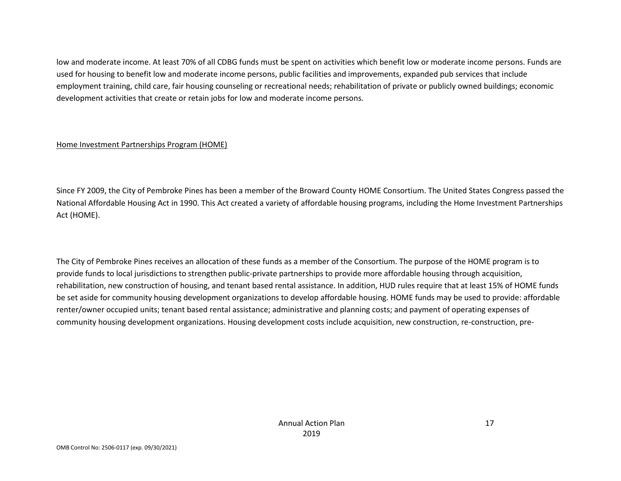low and moderate income. At least 70% of all CDBG funds must be spent on activities which benefit low or moderate income persons. Funds are used for housing to benefit low and moderate income persons, public facilities and improvements, expanded pub services that include employment training, child care, fair housing counseling or recreational needs; rehabilitation of private or publicly owned buildings; economic development activities that create or retain jobs for low and moderate income persons.

#### Home Investment Partnerships Program (HOME)

Since FY 2009, the City of Pembroke Pines has been a member of the Broward County HOME Consortium. The United States Congress passed the National Affordable Housing Act in 1990. This Act created a variety of affordable housing programs, including the Home Investment Partnerships Act (HOME).

The City of Pembroke Pines receives an allocation of these funds as a member of the Consortium. The purpose of the HOME program is to provide funds to local jurisdictions to strengthen public-private partnerships to provide more affordable housing through acquisition, rehabilitation, new construction of housing, and tenant based rental assistance. In addition, HUD rules require that at least 15% of HOME funds be set aside for community housing development organizations to develop affordable housing. HOME funds may be used to provide: affordable renter/owner occupied units; tenant based rental assistance; administrative and planning costs; and payment of operating expenses of community housing development organizations. Housing development costs include acquisition, new construction, re-construction, pre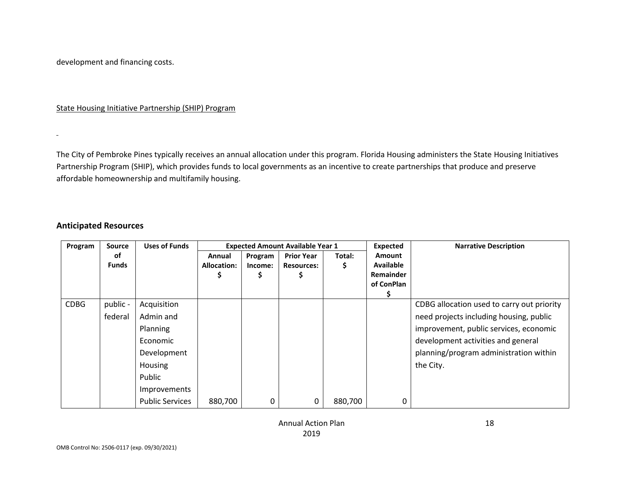development and financing costs.

State Housing Initiative Partnership (SHIP) Program

The City of Pembroke Pines typically receives an annual allocation under this program. Florida Housing administers the State Housing Initiatives Partnership Program (SHIP), which provides funds to local governments as an incentive to create partnerships that produce and preserve affordable homeownership and multifamily housing.

#### **Anticipated Resources**

| Program     | <b>Source</b>       | <b>Uses of Funds</b>                                                                                                           | <b>Expected Amount Available Year 1</b> |                         |                                        |             | <b>Expected</b>                                                     | <b>Narrative Description</b>                                                                                                                                                                                                 |
|-------------|---------------------|--------------------------------------------------------------------------------------------------------------------------------|-----------------------------------------|-------------------------|----------------------------------------|-------------|---------------------------------------------------------------------|------------------------------------------------------------------------------------------------------------------------------------------------------------------------------------------------------------------------------|
|             | οf<br><b>Funds</b>  |                                                                                                                                | Annual<br><b>Allocation:</b>            | Program<br>Income:<br>Ş | <b>Prior Year</b><br><b>Resources:</b> | Total:<br>Ş | <b>Amount</b><br><b>Available</b><br><b>Remainder</b><br>of ConPlan |                                                                                                                                                                                                                              |
| <b>CDBG</b> | public -<br>federal | Acquisition<br>Admin and<br>Planning<br>Economic<br>Development<br>Housing<br>Public<br>Improvements<br><b>Public Services</b> | 880,700                                 | 0                       | 0                                      | 880,700     | 0                                                                   | CDBG allocation used to carry out priority<br>need projects including housing, public<br>improvement, public services, economic<br>development activities and general<br>planning/program administration within<br>the City. |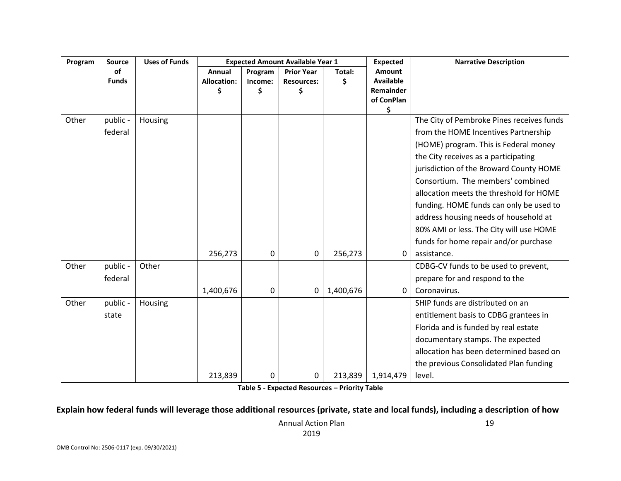| Program | <b>Source</b> | <b>Uses of Funds</b> |                    |         | <b>Expected Amount Available Year 1</b> |           | <b>Expected</b>         | <b>Narrative Description</b>              |
|---------|---------------|----------------------|--------------------|---------|-----------------------------------------|-----------|-------------------------|-------------------------------------------|
|         | <b>of</b>     |                      | Annual             | Program | <b>Prior Year</b>                       | Total:    | <b>Amount</b>           |                                           |
|         | <b>Funds</b>  |                      | <b>Allocation:</b> | Income: | <b>Resources:</b>                       | \$        | <b>Available</b>        |                                           |
|         |               |                      | \$                 | \$      | \$                                      |           | Remainder<br>of ConPlan |                                           |
|         |               |                      |                    |         |                                         |           | \$                      |                                           |
| Other   | public -      | Housing              |                    |         |                                         |           |                         | The City of Pembroke Pines receives funds |
|         | federal       |                      |                    |         |                                         |           |                         | from the HOME Incentives Partnership      |
|         |               |                      |                    |         |                                         |           |                         | (HOME) program. This is Federal money     |
|         |               |                      |                    |         |                                         |           |                         | the City receives as a participating      |
|         |               |                      |                    |         |                                         |           |                         | jurisdiction of the Broward County HOME   |
|         |               |                      |                    |         |                                         |           |                         | Consortium. The members' combined         |
|         |               |                      |                    |         |                                         |           |                         | allocation meets the threshold for HOME   |
|         |               |                      |                    |         |                                         |           |                         | funding. HOME funds can only be used to   |
|         |               |                      |                    |         |                                         |           |                         | address housing needs of household at     |
|         |               |                      |                    |         |                                         |           |                         | 80% AMI or less. The City will use HOME   |
|         |               |                      |                    |         |                                         |           |                         | funds for home repair and/or purchase     |
|         |               |                      | 256,273            | 0       | 0                                       | 256,273   | 0                       | assistance.                               |
| Other   | public -      | Other                |                    |         |                                         |           |                         | CDBG-CV funds to be used to prevent,      |
|         | federal       |                      |                    |         |                                         |           |                         | prepare for and respond to the            |
|         |               |                      | 1,400,676          | 0       | 0                                       | 1,400,676 | 0                       | Coronavirus.                              |
| Other   | public -      | Housing              |                    |         |                                         |           |                         | SHIP funds are distributed on an          |
|         | state         |                      |                    |         |                                         |           |                         | entitlement basis to CDBG grantees in     |
|         |               |                      |                    |         |                                         |           |                         | Florida and is funded by real estate      |
|         |               |                      |                    |         |                                         |           |                         | documentary stamps. The expected          |
|         |               |                      |                    |         |                                         |           |                         | allocation has been determined based on   |
|         |               |                      |                    |         |                                         |           |                         | the previous Consolidated Plan funding    |
|         |               |                      | 213,839            | 0       | 0                                       | 213,839   | 1,914,479               | level.                                    |

**Table 5 - Expected Resources – Priority Table**

#### **Explain how federal funds will leverage those additional resources (private, state and local funds), including a description of how**

Annual Action Plan 2019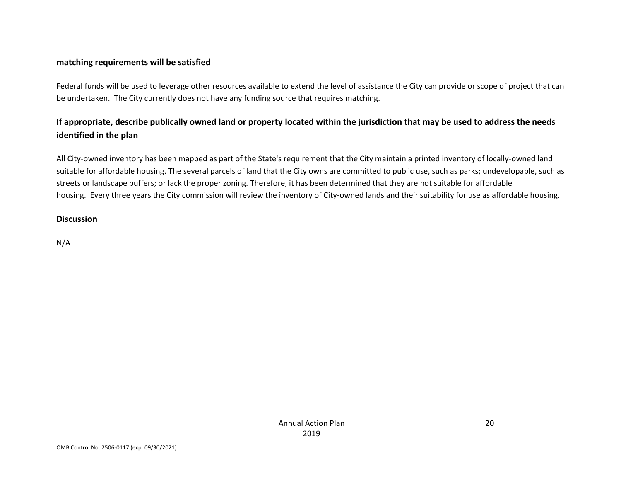#### **matching requirements will be satisfied**

Federal funds will be used to leverage other resources available to extend the level of assistance the City can provide or scope of project that can be undertaken. The City currently does not have any funding source that requires matching.

# **If appropriate, describe publically owned land or property located within the jurisdiction that may be used to address the needs identified in the plan**

All City-owned inventory has been mapped as part of the State's requirement that the City maintain a printed inventory of locally-owned land suitable for affordable housing. The several parcels of land that the City owns are committed to public use, such as parks; undevelopable, such as streets or landscape buffers; or lack the proper zoning. Therefore, it has been determined that they are not suitable for affordable housing. Every three years the City commission will review the inventory of City-owned lands and their suitability for use as affordable housing.

#### **Discussion**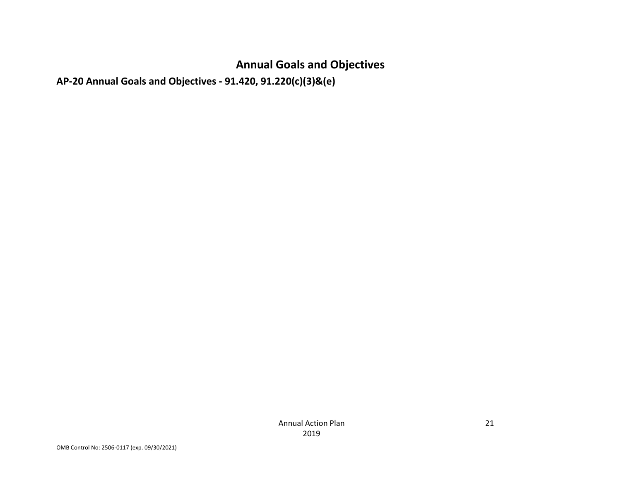# **Annual Goals and Objectives**

**AP-20 Annual Goals and Objectives - 91.420, 91.220(c)(3)&(e)**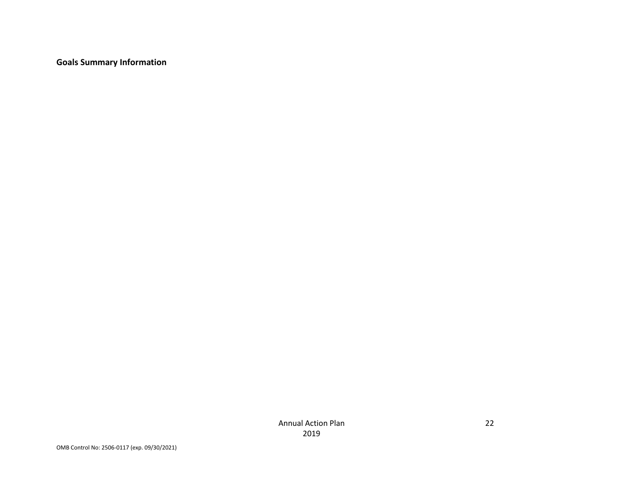**Goals Summary Information**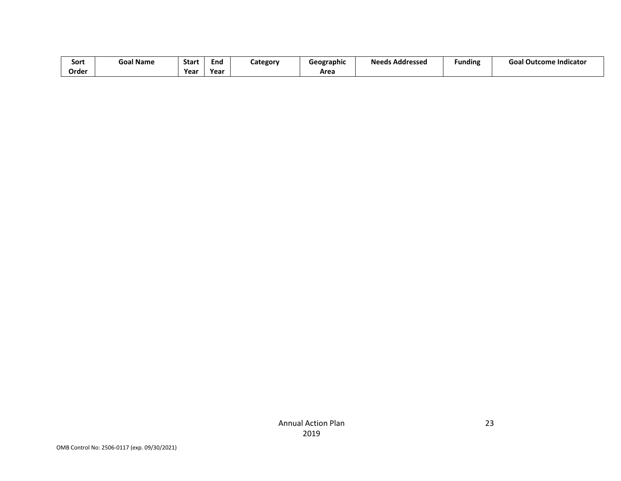| Sort  | Goal Name | Start | End  | Category | Geographic | <b>Needs Addressed</b> | <br>Funding | .<br><b>Goal Outcome Indicator</b> |
|-------|-----------|-------|------|----------|------------|------------------------|-------------|------------------------------------|
| Order |           | Year  | Year |          | Area       |                        |             |                                    |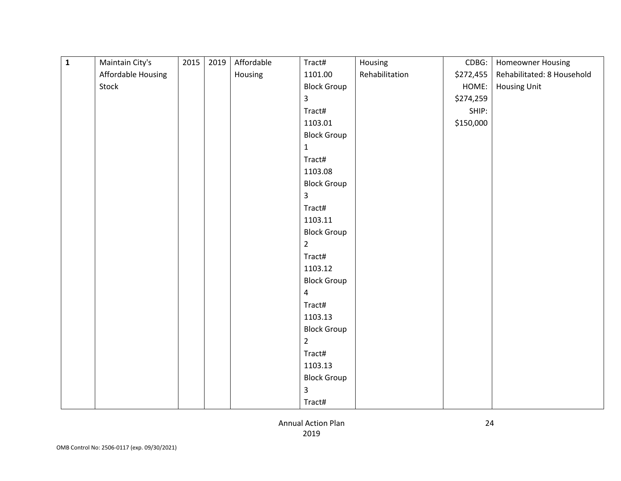| $\mathbf 1$ | Maintain City's    | 2015 | 2019 | Affordable | Tract#             | Housing        | CDBG:     | Homeowner Housing          |
|-------------|--------------------|------|------|------------|--------------------|----------------|-----------|----------------------------|
|             | Affordable Housing |      |      | Housing    | 1101.00            | Rehabilitation | \$272,455 | Rehabilitated: 8 Household |
|             | Stock              |      |      |            | <b>Block Group</b> |                | HOME:     | <b>Housing Unit</b>        |
|             |                    |      |      |            | 3                  |                | \$274,259 |                            |
|             |                    |      |      |            | Tract#             |                | SHIP:     |                            |
|             |                    |      |      |            | 1103.01            |                | \$150,000 |                            |
|             |                    |      |      |            | <b>Block Group</b> |                |           |                            |
|             |                    |      |      |            | $\mathbf{1}$       |                |           |                            |
|             |                    |      |      |            | Tract#             |                |           |                            |
|             |                    |      |      |            | 1103.08            |                |           |                            |
|             |                    |      |      |            | <b>Block Group</b> |                |           |                            |
|             |                    |      |      |            | 3                  |                |           |                            |
|             |                    |      |      |            | Tract#             |                |           |                            |
|             |                    |      |      |            | 1103.11            |                |           |                            |
|             |                    |      |      |            | <b>Block Group</b> |                |           |                            |
|             |                    |      |      |            | $\overline{2}$     |                |           |                            |
|             |                    |      |      |            | Tract#             |                |           |                            |
|             |                    |      |      |            | 1103.12            |                |           |                            |
|             |                    |      |      |            | <b>Block Group</b> |                |           |                            |
|             |                    |      |      |            | $\overline{4}$     |                |           |                            |
|             |                    |      |      |            | Tract#             |                |           |                            |
|             |                    |      |      |            | 1103.13            |                |           |                            |
|             |                    |      |      |            | <b>Block Group</b> |                |           |                            |
|             |                    |      |      |            | $\overline{2}$     |                |           |                            |
|             |                    |      |      |            | Tract#             |                |           |                            |
|             |                    |      |      |            | 1103.13            |                |           |                            |
|             |                    |      |      |            | <b>Block Group</b> |                |           |                            |
|             |                    |      |      |            | 3                  |                |           |                            |
|             |                    |      |      |            | Tract#             |                |           |                            |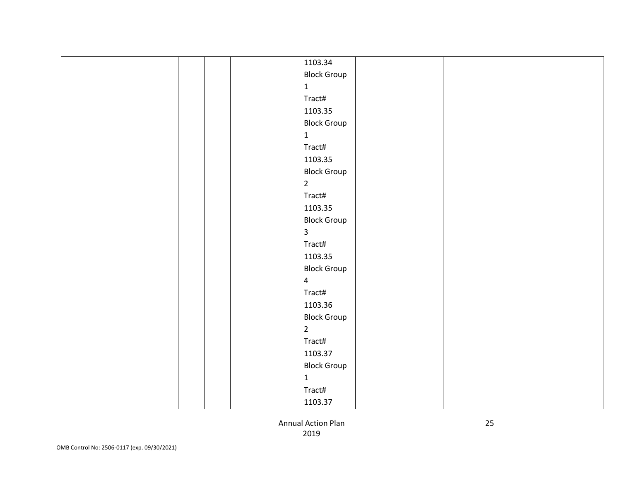|  |  | 1103.34            |  |  |
|--|--|--------------------|--|--|
|  |  | <b>Block Group</b> |  |  |
|  |  | $\mathbf{1}$       |  |  |
|  |  | Tract#             |  |  |
|  |  | 1103.35            |  |  |
|  |  | <b>Block Group</b> |  |  |
|  |  | $\mathbf{1}$       |  |  |
|  |  | Tract#             |  |  |
|  |  | 1103.35            |  |  |
|  |  | <b>Block Group</b> |  |  |
|  |  | $\overline{2}$     |  |  |
|  |  | Tract#             |  |  |
|  |  | 1103.35            |  |  |
|  |  | <b>Block Group</b> |  |  |
|  |  | $\mathbf{3}$       |  |  |
|  |  | Tract#             |  |  |
|  |  | 1103.35            |  |  |
|  |  | <b>Block Group</b> |  |  |
|  |  | $\overline{4}$     |  |  |
|  |  | Tract#             |  |  |
|  |  | 1103.36            |  |  |
|  |  | <b>Block Group</b> |  |  |
|  |  | $\overline{2}$     |  |  |
|  |  | Tract#             |  |  |
|  |  | 1103.37            |  |  |
|  |  | <b>Block Group</b> |  |  |
|  |  | $\mathbf{1}$       |  |  |
|  |  | Tract#             |  |  |
|  |  | 1103.37            |  |  |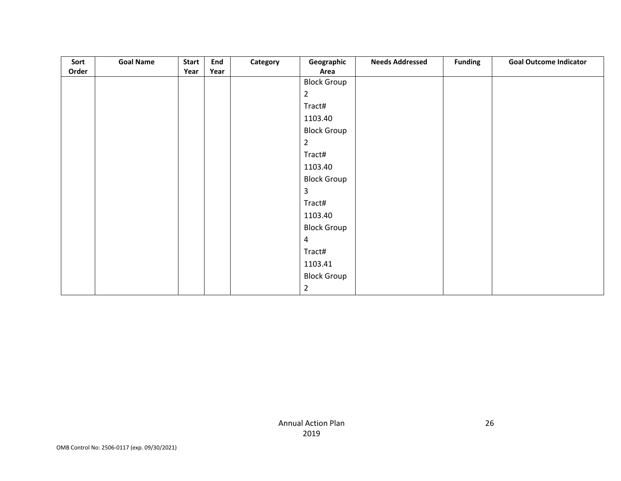| Sort  | <b>Goal Name</b> | <b>Start</b> | End  | Category | Geographic         | <b>Needs Addressed</b> | <b>Funding</b> | <b>Goal Outcome Indicator</b> |
|-------|------------------|--------------|------|----------|--------------------|------------------------|----------------|-------------------------------|
| Order |                  | Year         | Year |          | Area               |                        |                |                               |
|       |                  |              |      |          | <b>Block Group</b> |                        |                |                               |
|       |                  |              |      |          | $\overline{2}$     |                        |                |                               |
|       |                  |              |      |          | Tract#             |                        |                |                               |
|       |                  |              |      |          | 1103.40            |                        |                |                               |
|       |                  |              |      |          | <b>Block Group</b> |                        |                |                               |
|       |                  |              |      |          | $\overline{a}$     |                        |                |                               |
|       |                  |              |      |          | Tract#             |                        |                |                               |
|       |                  |              |      |          | 1103.40            |                        |                |                               |
|       |                  |              |      |          | <b>Block Group</b> |                        |                |                               |
|       |                  |              |      |          | 3                  |                        |                |                               |
|       |                  |              |      |          | Tract#             |                        |                |                               |
|       |                  |              |      |          | 1103.40            |                        |                |                               |
|       |                  |              |      |          | <b>Block Group</b> |                        |                |                               |
|       |                  |              |      |          | $\overline{4}$     |                        |                |                               |
|       |                  |              |      |          | Tract#             |                        |                |                               |
|       |                  |              |      |          | 1103.41            |                        |                |                               |
|       |                  |              |      |          | <b>Block Group</b> |                        |                |                               |
|       |                  |              |      |          | $\overline{2}$     |                        |                |                               |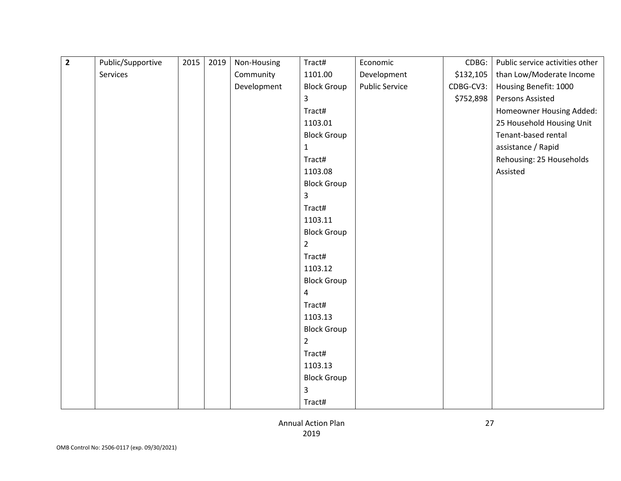| $\overline{\mathbf{2}}$ | Public/Supportive | 2015 | 2019 | Non-Housing | Tract#             | Economic              | CDBG:     | Public service activities other |
|-------------------------|-------------------|------|------|-------------|--------------------|-----------------------|-----------|---------------------------------|
|                         | Services          |      |      | Community   | 1101.00            | Development           | \$132,105 | than Low/Moderate Income        |
|                         |                   |      |      | Development | <b>Block Group</b> | <b>Public Service</b> | CDBG-CV3: | Housing Benefit: 1000           |
|                         |                   |      |      |             | 3                  |                       | \$752,898 | Persons Assisted                |
|                         |                   |      |      |             | Tract#             |                       |           | Homeowner Housing Added:        |
|                         |                   |      |      |             | 1103.01            |                       |           | 25 Household Housing Unit       |
|                         |                   |      |      |             | <b>Block Group</b> |                       |           | Tenant-based rental             |
|                         |                   |      |      |             | $\mathbf{1}$       |                       |           | assistance / Rapid              |
|                         |                   |      |      |             | Tract#             |                       |           | Rehousing: 25 Households        |
|                         |                   |      |      |             | 1103.08            |                       |           | Assisted                        |
|                         |                   |      |      |             | <b>Block Group</b> |                       |           |                                 |
|                         |                   |      |      |             | 3                  |                       |           |                                 |
|                         |                   |      |      |             | Tract#             |                       |           |                                 |
|                         |                   |      |      |             | 1103.11            |                       |           |                                 |
|                         |                   |      |      |             | <b>Block Group</b> |                       |           |                                 |
|                         |                   |      |      |             | $\overline{2}$     |                       |           |                                 |
|                         |                   |      |      |             | Tract#             |                       |           |                                 |
|                         |                   |      |      |             | 1103.12            |                       |           |                                 |
|                         |                   |      |      |             | <b>Block Group</b> |                       |           |                                 |
|                         |                   |      |      |             | 4                  |                       |           |                                 |
|                         |                   |      |      |             | Tract#             |                       |           |                                 |
|                         |                   |      |      |             | 1103.13            |                       |           |                                 |
|                         |                   |      |      |             | <b>Block Group</b> |                       |           |                                 |
|                         |                   |      |      |             | $\overline{2}$     |                       |           |                                 |
|                         |                   |      |      |             | Tract#             |                       |           |                                 |
|                         |                   |      |      |             | 1103.13            |                       |           |                                 |
|                         |                   |      |      |             | <b>Block Group</b> |                       |           |                                 |
|                         |                   |      |      |             | 3                  |                       |           |                                 |
|                         |                   |      |      |             | Tract#             |                       |           |                                 |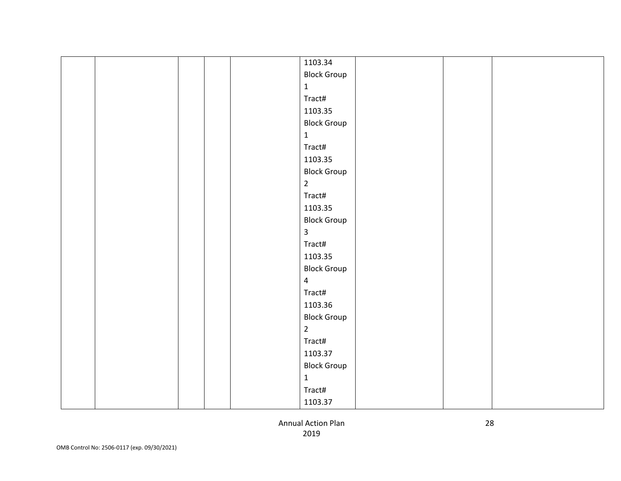|  |  | 1103.34            |  |  |
|--|--|--------------------|--|--|
|  |  | <b>Block Group</b> |  |  |
|  |  | $\mathbf{1}$       |  |  |
|  |  | Tract#             |  |  |
|  |  | 1103.35            |  |  |
|  |  | <b>Block Group</b> |  |  |
|  |  | $\mathbf{1}$       |  |  |
|  |  | Tract#             |  |  |
|  |  | 1103.35            |  |  |
|  |  | <b>Block Group</b> |  |  |
|  |  | $\overline{2}$     |  |  |
|  |  | Tract#             |  |  |
|  |  | 1103.35            |  |  |
|  |  | <b>Block Group</b> |  |  |
|  |  | $\mathbf{3}$       |  |  |
|  |  | Tract#             |  |  |
|  |  | 1103.35            |  |  |
|  |  | <b>Block Group</b> |  |  |
|  |  | $\overline{4}$     |  |  |
|  |  | Tract#             |  |  |
|  |  | 1103.36            |  |  |
|  |  | <b>Block Group</b> |  |  |
|  |  | $\overline{2}$     |  |  |
|  |  | Tract#             |  |  |
|  |  | 1103.37            |  |  |
|  |  | <b>Block Group</b> |  |  |
|  |  | $\mathbf{1}$       |  |  |
|  |  | Tract#             |  |  |
|  |  | 1103.37            |  |  |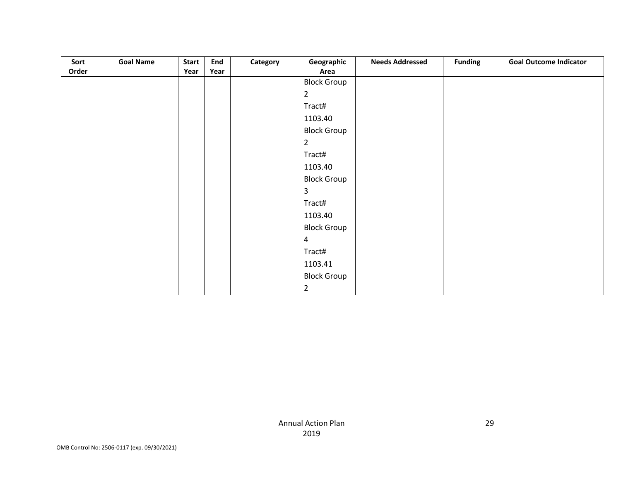| Sort  | <b>Goal Name</b> | <b>Start</b> | End  | Category | Geographic         | <b>Needs Addressed</b> | <b>Funding</b> | <b>Goal Outcome Indicator</b> |
|-------|------------------|--------------|------|----------|--------------------|------------------------|----------------|-------------------------------|
| Order |                  | Year         | Year |          | Area               |                        |                |                               |
|       |                  |              |      |          | <b>Block Group</b> |                        |                |                               |
|       |                  |              |      |          | $\overline{2}$     |                        |                |                               |
|       |                  |              |      |          | Tract#             |                        |                |                               |
|       |                  |              |      |          | 1103.40            |                        |                |                               |
|       |                  |              |      |          | <b>Block Group</b> |                        |                |                               |
|       |                  |              |      |          | $\overline{a}$     |                        |                |                               |
|       |                  |              |      |          | Tract#             |                        |                |                               |
|       |                  |              |      |          | 1103.40            |                        |                |                               |
|       |                  |              |      |          | <b>Block Group</b> |                        |                |                               |
|       |                  |              |      |          | 3                  |                        |                |                               |
|       |                  |              |      |          | Tract#             |                        |                |                               |
|       |                  |              |      |          | 1103.40            |                        |                |                               |
|       |                  |              |      |          | <b>Block Group</b> |                        |                |                               |
|       |                  |              |      |          | $\overline{4}$     |                        |                |                               |
|       |                  |              |      |          | Tract#             |                        |                |                               |
|       |                  |              |      |          | 1103.41            |                        |                |                               |
|       |                  |              |      |          | <b>Block Group</b> |                        |                |                               |
|       |                  |              |      |          | $\overline{2}$     |                        |                |                               |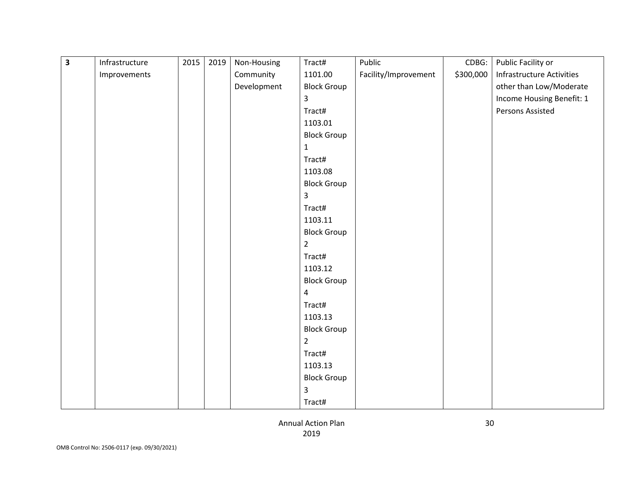| $\overline{\mathbf{3}}$ | Infrastructure | 2015 | 2019 | Non-Housing | Tract#             | Public               | CDBG:     | Public Facility or        |
|-------------------------|----------------|------|------|-------------|--------------------|----------------------|-----------|---------------------------|
|                         | Improvements   |      |      | Community   | 1101.00            | Facility/Improvement | \$300,000 | Infrastructure Activities |
|                         |                |      |      | Development | <b>Block Group</b> |                      |           | other than Low/Moderate   |
|                         |                |      |      |             | 3                  |                      |           | Income Housing Benefit: 1 |
|                         |                |      |      |             | Tract#             |                      |           | Persons Assisted          |
|                         |                |      |      |             | 1103.01            |                      |           |                           |
|                         |                |      |      |             | <b>Block Group</b> |                      |           |                           |
|                         |                |      |      |             | $\mathbf{1}$       |                      |           |                           |
|                         |                |      |      |             | Tract#             |                      |           |                           |
|                         |                |      |      |             | 1103.08            |                      |           |                           |
|                         |                |      |      |             | <b>Block Group</b> |                      |           |                           |
|                         |                |      |      |             | $\mathbf{3}$       |                      |           |                           |
|                         |                |      |      |             | Tract#             |                      |           |                           |
|                         |                |      |      |             | 1103.11            |                      |           |                           |
|                         |                |      |      |             | <b>Block Group</b> |                      |           |                           |
|                         |                |      |      |             | $\overline{2}$     |                      |           |                           |
|                         |                |      |      |             | Tract#             |                      |           |                           |
|                         |                |      |      |             | 1103.12            |                      |           |                           |
|                         |                |      |      |             | <b>Block Group</b> |                      |           |                           |
|                         |                |      |      |             | $\overline{a}$     |                      |           |                           |
|                         |                |      |      |             | Tract#             |                      |           |                           |
|                         |                |      |      |             | 1103.13            |                      |           |                           |
|                         |                |      |      |             | <b>Block Group</b> |                      |           |                           |
|                         |                |      |      |             | $\overline{2}$     |                      |           |                           |
|                         |                |      |      |             | Tract#             |                      |           |                           |
|                         |                |      |      |             | 1103.13            |                      |           |                           |
|                         |                |      |      |             | <b>Block Group</b> |                      |           |                           |
|                         |                |      |      |             | $\mathsf{3}$       |                      |           |                           |
|                         |                |      |      |             | Tract#             |                      |           |                           |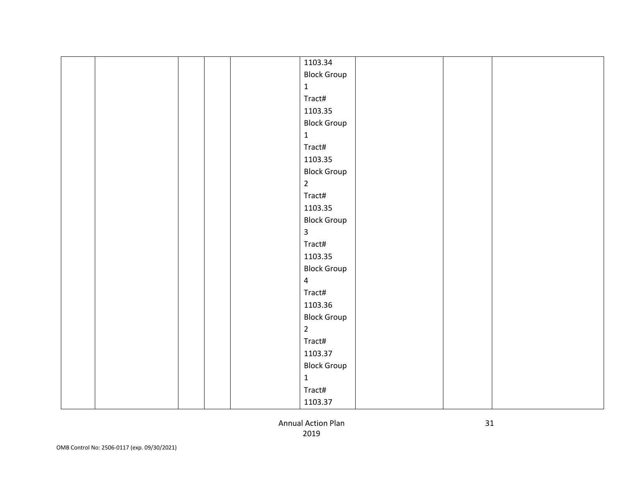|  |  | 1103.34            |  |  |
|--|--|--------------------|--|--|
|  |  | <b>Block Group</b> |  |  |
|  |  | $\mathbf{1}$       |  |  |
|  |  | Tract#             |  |  |
|  |  | 1103.35            |  |  |
|  |  | <b>Block Group</b> |  |  |
|  |  | $\mathbf{1}$       |  |  |
|  |  | Tract#             |  |  |
|  |  | 1103.35            |  |  |
|  |  | <b>Block Group</b> |  |  |
|  |  | $\overline{2}$     |  |  |
|  |  | Tract#             |  |  |
|  |  | 1103.35            |  |  |
|  |  | <b>Block Group</b> |  |  |
|  |  | $\mathbf{3}$       |  |  |
|  |  | Tract#             |  |  |
|  |  | 1103.35            |  |  |
|  |  | <b>Block Group</b> |  |  |
|  |  | $\overline{4}$     |  |  |
|  |  | Tract#             |  |  |
|  |  | 1103.36            |  |  |
|  |  | <b>Block Group</b> |  |  |
|  |  | $\overline{2}$     |  |  |
|  |  | Tract#             |  |  |
|  |  | 1103.37            |  |  |
|  |  | <b>Block Group</b> |  |  |
|  |  | $\mathbf{1}$       |  |  |
|  |  | Tract#             |  |  |
|  |  | 1103.37            |  |  |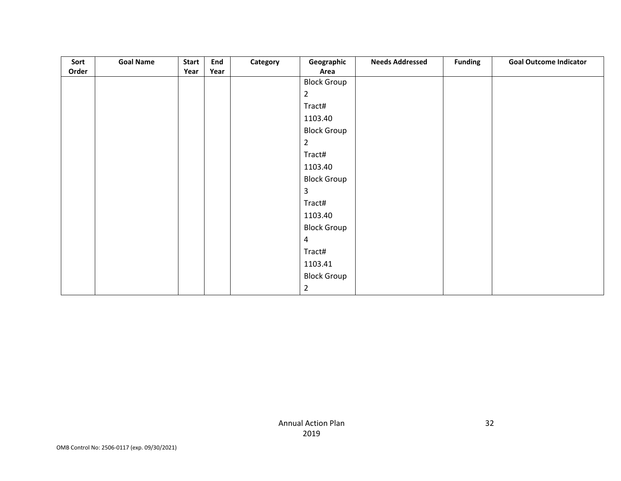| Sort  | <b>Goal Name</b> | <b>Start</b> | End  | Category | Geographic         | <b>Needs Addressed</b> | <b>Funding</b> | <b>Goal Outcome Indicator</b> |
|-------|------------------|--------------|------|----------|--------------------|------------------------|----------------|-------------------------------|
| Order |                  | Year         | Year |          | Area               |                        |                |                               |
|       |                  |              |      |          | <b>Block Group</b> |                        |                |                               |
|       |                  |              |      |          | $\overline{2}$     |                        |                |                               |
|       |                  |              |      |          | Tract#             |                        |                |                               |
|       |                  |              |      |          | 1103.40            |                        |                |                               |
|       |                  |              |      |          | <b>Block Group</b> |                        |                |                               |
|       |                  |              |      |          | $\overline{a}$     |                        |                |                               |
|       |                  |              |      |          | Tract#             |                        |                |                               |
|       |                  |              |      |          | 1103.40            |                        |                |                               |
|       |                  |              |      |          | <b>Block Group</b> |                        |                |                               |
|       |                  |              |      |          | 3                  |                        |                |                               |
|       |                  |              |      |          | Tract#             |                        |                |                               |
|       |                  |              |      |          | 1103.40            |                        |                |                               |
|       |                  |              |      |          | <b>Block Group</b> |                        |                |                               |
|       |                  |              |      |          | $\overline{4}$     |                        |                |                               |
|       |                  |              |      |          | Tract#             |                        |                |                               |
|       |                  |              |      |          | 1103.41            |                        |                |                               |
|       |                  |              |      |          | <b>Block Group</b> |                        |                |                               |
|       |                  |              |      |          | $\overline{2}$     |                        |                |                               |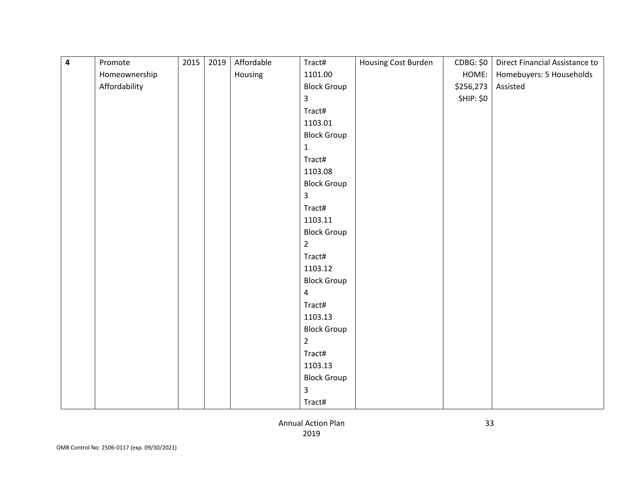| 4 | Promote       | 2015 | 2019 | Affordable | Tract#             | Housing Cost Burden | CDBG: \$0        | Direct Financial Assistance to |
|---|---------------|------|------|------------|--------------------|---------------------|------------------|--------------------------------|
|   | Homeownership |      |      | Housing    | 1101.00            |                     | HOME:            | Homebuyers: 5 Households       |
|   | Affordability |      |      |            | <b>Block Group</b> |                     | \$256,273        | Assisted                       |
|   |               |      |      |            | 3                  |                     | <b>SHIP: \$0</b> |                                |
|   |               |      |      |            | Tract#             |                     |                  |                                |
|   |               |      |      |            | 1103.01            |                     |                  |                                |
|   |               |      |      |            | <b>Block Group</b> |                     |                  |                                |
|   |               |      |      |            | $\mathbf{1}$       |                     |                  |                                |
|   |               |      |      |            | Tract#             |                     |                  |                                |
|   |               |      |      |            | 1103.08            |                     |                  |                                |
|   |               |      |      |            | <b>Block Group</b> |                     |                  |                                |
|   |               |      |      |            | 3                  |                     |                  |                                |
|   |               |      |      |            | Tract#             |                     |                  |                                |
|   |               |      |      |            | 1103.11            |                     |                  |                                |
|   |               |      |      |            | <b>Block Group</b> |                     |                  |                                |
|   |               |      |      |            | $\overline{2}$     |                     |                  |                                |
|   |               |      |      |            | Tract#             |                     |                  |                                |
|   |               |      |      |            | 1103.12            |                     |                  |                                |
|   |               |      |      |            | <b>Block Group</b> |                     |                  |                                |
|   |               |      |      |            | $\overline{4}$     |                     |                  |                                |
|   |               |      |      |            | Tract#             |                     |                  |                                |
|   |               |      |      |            | 1103.13            |                     |                  |                                |
|   |               |      |      |            | <b>Block Group</b> |                     |                  |                                |
|   |               |      |      |            | $\overline{2}$     |                     |                  |                                |
|   |               |      |      |            | Tract#             |                     |                  |                                |
|   |               |      |      |            | 1103.13            |                     |                  |                                |
|   |               |      |      |            | <b>Block Group</b> |                     |                  |                                |
|   |               |      |      |            | 3                  |                     |                  |                                |
|   |               |      |      |            | Tract#             |                     |                  |                                |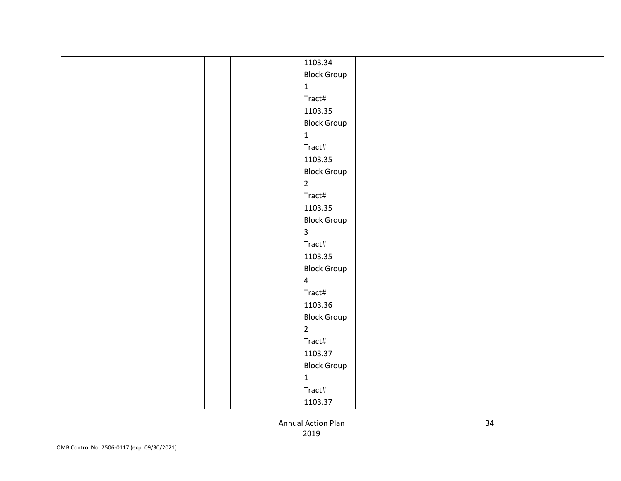|  |  | 1103.34            |  |  |
|--|--|--------------------|--|--|
|  |  | <b>Block Group</b> |  |  |
|  |  | $\mathbf{1}$       |  |  |
|  |  | Tract#             |  |  |
|  |  | 1103.35            |  |  |
|  |  | <b>Block Group</b> |  |  |
|  |  | $\mathbf{1}$       |  |  |
|  |  | Tract#             |  |  |
|  |  | 1103.35            |  |  |
|  |  | <b>Block Group</b> |  |  |
|  |  | $\overline{2}$     |  |  |
|  |  | Tract#             |  |  |
|  |  | 1103.35            |  |  |
|  |  | <b>Block Group</b> |  |  |
|  |  | $\mathbf{3}$       |  |  |
|  |  | Tract#             |  |  |
|  |  | 1103.35            |  |  |
|  |  | <b>Block Group</b> |  |  |
|  |  | $\overline{4}$     |  |  |
|  |  | Tract#             |  |  |
|  |  | 1103.36            |  |  |
|  |  | <b>Block Group</b> |  |  |
|  |  | $\overline{2}$     |  |  |
|  |  | Tract#             |  |  |
|  |  | 1103.37            |  |  |
|  |  | <b>Block Group</b> |  |  |
|  |  | $\mathbf{1}$       |  |  |
|  |  | Tract#             |  |  |
|  |  | 1103.37            |  |  |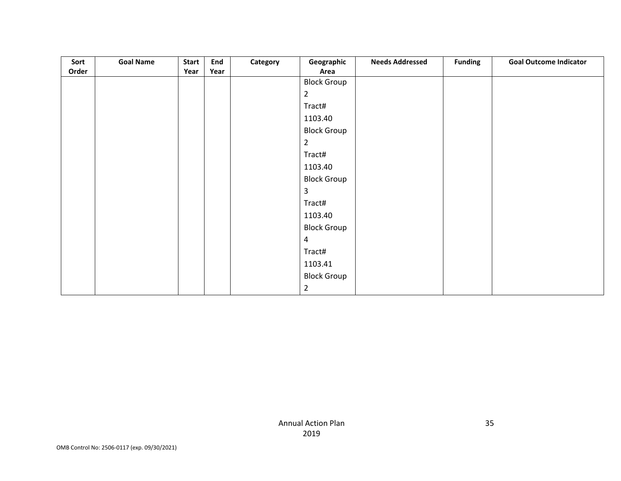| Sort  | <b>Goal Name</b> | <b>Start</b> | End  | Category | Geographic         | <b>Needs Addressed</b> | <b>Funding</b> | <b>Goal Outcome Indicator</b> |
|-------|------------------|--------------|------|----------|--------------------|------------------------|----------------|-------------------------------|
| Order |                  | Year         | Year |          | Area               |                        |                |                               |
|       |                  |              |      |          | <b>Block Group</b> |                        |                |                               |
|       |                  |              |      |          | $\overline{2}$     |                        |                |                               |
|       |                  |              |      |          | Tract#             |                        |                |                               |
|       |                  |              |      |          | 1103.40            |                        |                |                               |
|       |                  |              |      |          | <b>Block Group</b> |                        |                |                               |
|       |                  |              |      |          | $\overline{a}$     |                        |                |                               |
|       |                  |              |      |          | Tract#             |                        |                |                               |
|       |                  |              |      |          | 1103.40            |                        |                |                               |
|       |                  |              |      |          | <b>Block Group</b> |                        |                |                               |
|       |                  |              |      |          | 3                  |                        |                |                               |
|       |                  |              |      |          | Tract#             |                        |                |                               |
|       |                  |              |      |          | 1103.40            |                        |                |                               |
|       |                  |              |      |          | <b>Block Group</b> |                        |                |                               |
|       |                  |              |      |          | $\overline{4}$     |                        |                |                               |
|       |                  |              |      |          | Tract#             |                        |                |                               |
|       |                  |              |      |          | 1103.41            |                        |                |                               |
|       |                  |              |      |          | <b>Block Group</b> |                        |                |                               |
|       |                  |              |      |          | $\overline{2}$     |                        |                |                               |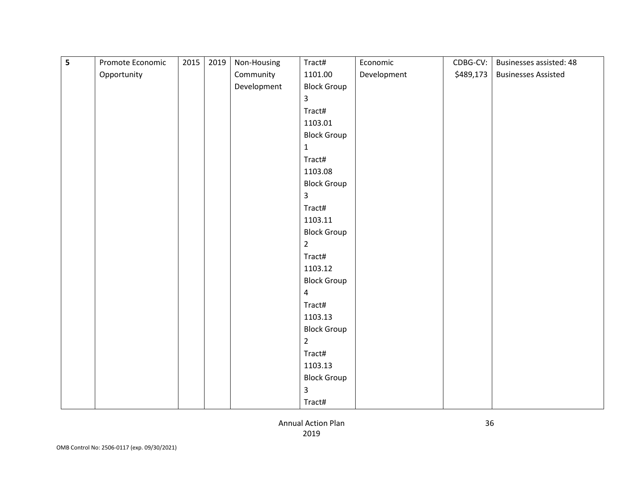| 5 | Promote Economic | 2015 | 2019 | Non-Housing | Tract#             | Economic    | CDBG-CV:  | Businesses assisted: 48    |
|---|------------------|------|------|-------------|--------------------|-------------|-----------|----------------------------|
|   | Opportunity      |      |      | Community   | 1101.00            | Development | \$489,173 | <b>Businesses Assisted</b> |
|   |                  |      |      | Development | <b>Block Group</b> |             |           |                            |
|   |                  |      |      |             | 3                  |             |           |                            |
|   |                  |      |      |             | Tract#             |             |           |                            |
|   |                  |      |      |             | 1103.01            |             |           |                            |
|   |                  |      |      |             | <b>Block Group</b> |             |           |                            |
|   |                  |      |      |             | $\mathbf{1}$       |             |           |                            |
|   |                  |      |      |             | Tract#             |             |           |                            |
|   |                  |      |      |             | 1103.08            |             |           |                            |
|   |                  |      |      |             | <b>Block Group</b> |             |           |                            |
|   |                  |      |      |             | 3                  |             |           |                            |
|   |                  |      |      |             | Tract#             |             |           |                            |
|   |                  |      |      |             | 1103.11            |             |           |                            |
|   |                  |      |      |             | <b>Block Group</b> |             |           |                            |
|   |                  |      |      |             | $\overline{2}$     |             |           |                            |
|   |                  |      |      |             | Tract#             |             |           |                            |
|   |                  |      |      |             | 1103.12            |             |           |                            |
|   |                  |      |      |             | <b>Block Group</b> |             |           |                            |
|   |                  |      |      |             | $\overline{4}$     |             |           |                            |
|   |                  |      |      |             | Tract#             |             |           |                            |
|   |                  |      |      |             | 1103.13            |             |           |                            |
|   |                  |      |      |             | <b>Block Group</b> |             |           |                            |
|   |                  |      |      |             | $\overline{2}$     |             |           |                            |
|   |                  |      |      |             | Tract#             |             |           |                            |
|   |                  |      |      |             | 1103.13            |             |           |                            |
|   |                  |      |      |             | <b>Block Group</b> |             |           |                            |
|   |                  |      |      |             | 3                  |             |           |                            |
|   |                  |      |      |             | Tract#             |             |           |                            |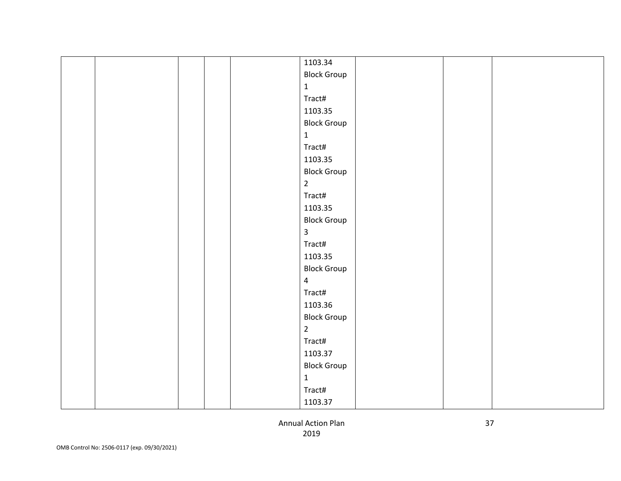|  |  | 1103.34            |  |  |
|--|--|--------------------|--|--|
|  |  | <b>Block Group</b> |  |  |
|  |  | $\mathbf{1}$       |  |  |
|  |  | Tract#             |  |  |
|  |  | 1103.35            |  |  |
|  |  | <b>Block Group</b> |  |  |
|  |  | $\mathbf{1}$       |  |  |
|  |  | Tract#             |  |  |
|  |  | 1103.35            |  |  |
|  |  | <b>Block Group</b> |  |  |
|  |  | $\overline{2}$     |  |  |
|  |  | Tract#             |  |  |
|  |  | 1103.35            |  |  |
|  |  | <b>Block Group</b> |  |  |
|  |  | $\mathbf{3}$       |  |  |
|  |  | Tract#             |  |  |
|  |  | 1103.35            |  |  |
|  |  | <b>Block Group</b> |  |  |
|  |  | $\overline{4}$     |  |  |
|  |  | Tract#             |  |  |
|  |  | 1103.36            |  |  |
|  |  | <b>Block Group</b> |  |  |
|  |  | $\overline{2}$     |  |  |
|  |  | Tract#             |  |  |
|  |  | 1103.37            |  |  |
|  |  | <b>Block Group</b> |  |  |
|  |  | $\mathbf{1}$       |  |  |
|  |  | Tract#             |  |  |
|  |  | 1103.37            |  |  |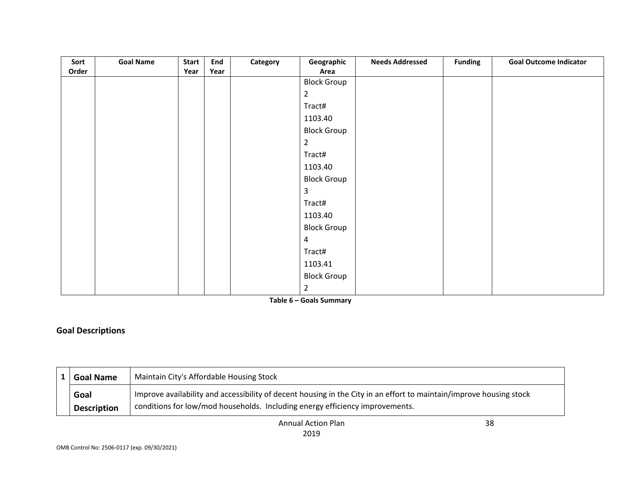| Sort  | <b>Goal Name</b> | <b>Start</b> | End  | Category | Geographic         | <b>Needs Addressed</b> | <b>Funding</b> | <b>Goal Outcome Indicator</b> |
|-------|------------------|--------------|------|----------|--------------------|------------------------|----------------|-------------------------------|
| Order |                  | Year         | Year |          | Area               |                        |                |                               |
|       |                  |              |      |          | <b>Block Group</b> |                        |                |                               |
|       |                  |              |      |          | $\overline{2}$     |                        |                |                               |
|       |                  |              |      |          | Tract#             |                        |                |                               |
|       |                  |              |      |          | 1103.40            |                        |                |                               |
|       |                  |              |      |          | <b>Block Group</b> |                        |                |                               |
|       |                  |              |      |          | $\overline{2}$     |                        |                |                               |
|       |                  |              |      |          | Tract#             |                        |                |                               |
|       |                  |              |      |          | 1103.40            |                        |                |                               |
|       |                  |              |      |          | <b>Block Group</b> |                        |                |                               |
|       |                  |              |      |          | 3                  |                        |                |                               |
|       |                  |              |      |          | Tract#             |                        |                |                               |
|       |                  |              |      |          | 1103.40            |                        |                |                               |
|       |                  |              |      |          | <b>Block Group</b> |                        |                |                               |
|       |                  |              |      |          | 4                  |                        |                |                               |
|       |                  |              |      |          | Tract#             |                        |                |                               |
|       |                  |              |      |          | 1103.41            |                        |                |                               |
|       |                  |              |      |          | <b>Block Group</b> |                        |                |                               |
|       |                  |              |      |          | $\overline{2}$     |                        |                |                               |

**Table 6 – Goals Summary**

# **Goal Descriptions**

| <b>Goal Name</b>   | Maintain City's Affordable Housing Stock                                                                            |
|--------------------|---------------------------------------------------------------------------------------------------------------------|
| Goal               | Improve availability and accessibility of decent housing in the City in an effort to maintain/improve housing stock |
| <b>Description</b> | conditions for low/mod households. Including energy efficiency improvements.                                        |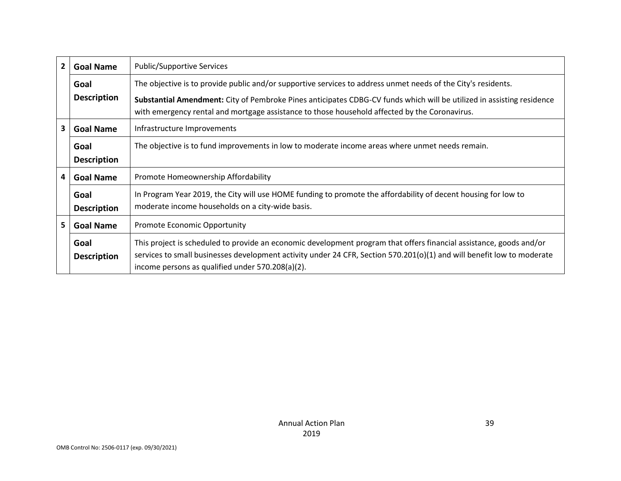| $\overline{2}$ | <b>Goal Name</b>   | <b>Public/Supportive Services</b>                                                                                                                                                                                      |  |
|----------------|--------------------|------------------------------------------------------------------------------------------------------------------------------------------------------------------------------------------------------------------------|--|
|                | Goal               | The objective is to provide public and/or supportive services to address unmet needs of the City's residents.                                                                                                          |  |
|                | <b>Description</b> | Substantial Amendment: City of Pembroke Pines anticipates CDBG-CV funds which will be utilized in assisting residence<br>with emergency rental and mortgage assistance to those household affected by the Coronavirus. |  |
| 3              | <b>Goal Name</b>   | Infrastructure Improvements                                                                                                                                                                                            |  |
|                |                    |                                                                                                                                                                                                                        |  |
|                | Goal               | The objective is to fund improvements in low to moderate income areas where unmet needs remain.                                                                                                                        |  |
|                | <b>Description</b> |                                                                                                                                                                                                                        |  |
| 4              | <b>Goal Name</b>   | Promote Homeownership Affordability                                                                                                                                                                                    |  |
|                | Goal               | In Program Year 2019, the City will use HOME funding to promote the affordability of decent housing for low to                                                                                                         |  |
|                | <b>Description</b> | moderate income households on a city-wide basis.                                                                                                                                                                       |  |
| 5              | <b>Goal Name</b>   | <b>Promote Economic Opportunity</b>                                                                                                                                                                                    |  |
|                | Goal               | This project is scheduled to provide an economic development program that offers financial assistance, goods and/or                                                                                                    |  |
|                | <b>Description</b> | services to small businesses development activity under 24 CFR, Section 570.201(o)(1) and will benefit low to moderate                                                                                                 |  |
|                |                    | income persons as qualified under 570.208(a)(2).                                                                                                                                                                       |  |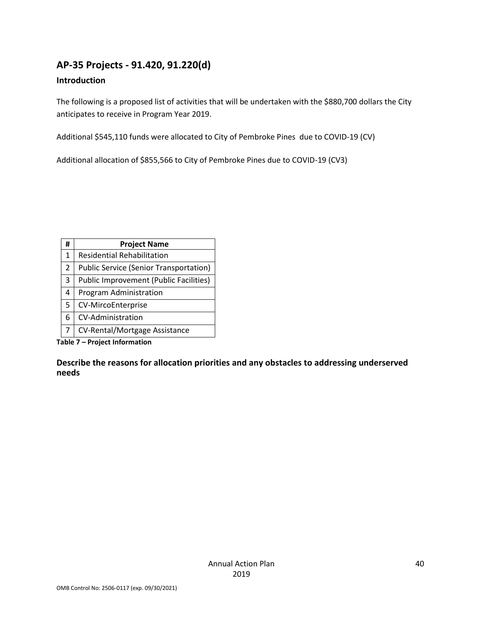# **AP-35 Projects - 91.420, 91.220(d)**

#### **Introduction**

The following is a proposed list of activities that will be undertaken with the \$880,700 dollars the City anticipates to receive in Program Year 2019.

Additional \$545,110 funds were allocated to City of Pembroke Pines due to COVID-19 (CV)

Additional allocation of \$855,566 to City of Pembroke Pines due to COVID-19 (CV3)

| #              | <b>Project Name</b>                           |
|----------------|-----------------------------------------------|
| 1              | <b>Residential Rehabilitation</b>             |
| $\overline{2}$ | <b>Public Service (Senior Transportation)</b> |
| 3              | <b>Public Improvement (Public Facilities)</b> |
| 4              | Program Administration                        |
| 5              | <b>CV-MircoEnterprise</b>                     |
| 6              | CV-Administration                             |
| 7              | <b>CV-Rental/Mortgage Assistance</b>          |

**Table 7 – Project Information**

**Describe the reasons for allocation priorities and any obstacles to addressing underserved needs**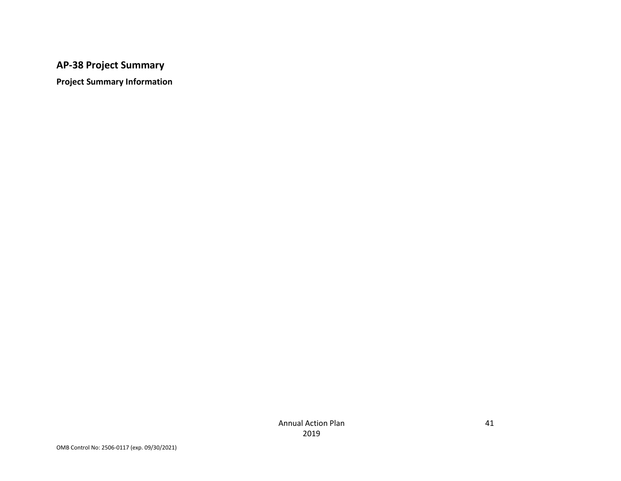# **AP-38 Project Summary**

**Project Summary Information**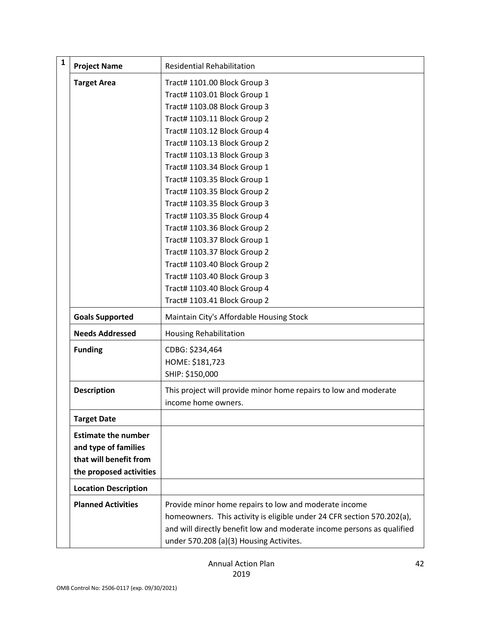| $\mathbf{1}$ | <b>Project Name</b>         | <b>Residential Rehabilitation</b>                                      |
|--------------|-----------------------------|------------------------------------------------------------------------|
|              | <b>Target Area</b>          | Tract# 1101.00 Block Group 3                                           |
|              |                             | Tract# 1103.01 Block Group 1                                           |
|              |                             | Tract# 1103.08 Block Group 3                                           |
|              |                             | Tract# 1103.11 Block Group 2                                           |
|              |                             | Tract# 1103.12 Block Group 4                                           |
|              |                             | Tract# 1103.13 Block Group 2                                           |
|              |                             | Tract# 1103.13 Block Group 3                                           |
|              |                             | Tract# 1103.34 Block Group 1                                           |
|              |                             | Tract# 1103.35 Block Group 1                                           |
|              |                             | Tract# 1103.35 Block Group 2                                           |
|              |                             | Tract# 1103.35 Block Group 3                                           |
|              |                             | Tract# 1103.35 Block Group 4                                           |
|              |                             | Tract# 1103.36 Block Group 2                                           |
|              |                             | Tract# 1103.37 Block Group 1                                           |
|              |                             | Tract# 1103.37 Block Group 2                                           |
|              |                             | Tract# 1103.40 Block Group 2                                           |
|              |                             | Tract# 1103.40 Block Group 3                                           |
|              |                             | Tract# 1103.40 Block Group 4                                           |
|              |                             | Tract# 1103.41 Block Group 2                                           |
|              | <b>Goals Supported</b>      | Maintain City's Affordable Housing Stock                               |
|              | <b>Needs Addressed</b>      | <b>Housing Rehabilitation</b>                                          |
|              | <b>Funding</b>              | CDBG: \$234,464                                                        |
|              |                             | HOME: \$181,723                                                        |
|              |                             | SHIP: \$150,000                                                        |
|              | <b>Description</b>          | This project will provide minor home repairs to low and moderate       |
|              |                             | income home owners.                                                    |
|              | <b>Target Date</b>          |                                                                        |
|              | <b>Estimate the number</b>  |                                                                        |
|              | and type of families        |                                                                        |
|              | that will benefit from      |                                                                        |
|              | the proposed activities     |                                                                        |
|              | <b>Location Description</b> |                                                                        |
|              | <b>Planned Activities</b>   | Provide minor home repairs to low and moderate income                  |
|              |                             | homeowners. This activity is eligible under 24 CFR section 570.202(a), |
|              |                             | and will directly benefit low and moderate income persons as qualified |
|              |                             | under 570.208 (a)(3) Housing Activites.                                |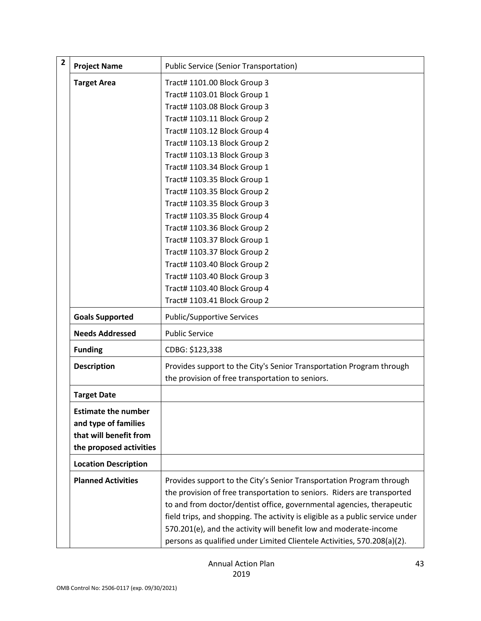| $\overline{\mathbf{2}}$ | <b>Project Name</b>         | <b>Public Service (Senior Transportation)</b>                                                                            |
|-------------------------|-----------------------------|--------------------------------------------------------------------------------------------------------------------------|
|                         | <b>Target Area</b>          | Tract# 1101.00 Block Group 3                                                                                             |
|                         |                             | Tract# 1103.01 Block Group 1                                                                                             |
|                         |                             | Tract# 1103.08 Block Group 3                                                                                             |
|                         |                             | Tract# 1103.11 Block Group 2                                                                                             |
|                         |                             | Tract# 1103.12 Block Group 4                                                                                             |
|                         |                             | Tract# 1103.13 Block Group 2                                                                                             |
|                         |                             | Tract# 1103.13 Block Group 3                                                                                             |
|                         |                             | Tract# 1103.34 Block Group 1                                                                                             |
|                         |                             | Tract# 1103.35 Block Group 1                                                                                             |
|                         |                             | Tract# 1103.35 Block Group 2                                                                                             |
|                         |                             | Tract# 1103.35 Block Group 3                                                                                             |
|                         |                             | Tract# 1103.35 Block Group 4                                                                                             |
|                         |                             | Tract# 1103.36 Block Group 2                                                                                             |
|                         |                             | Tract# 1103.37 Block Group 1                                                                                             |
|                         |                             | Tract# 1103.37 Block Group 2                                                                                             |
|                         |                             | Tract# 1103.40 Block Group 2                                                                                             |
|                         |                             | Tract# 1103.40 Block Group 3                                                                                             |
|                         |                             | Tract# 1103.40 Block Group 4                                                                                             |
|                         |                             | Tract# 1103.41 Block Group 2                                                                                             |
|                         | <b>Goals Supported</b>      | <b>Public/Supportive Services</b>                                                                                        |
|                         | <b>Needs Addressed</b>      | <b>Public Service</b>                                                                                                    |
|                         | <b>Funding</b>              | CDBG: \$123,338                                                                                                          |
|                         | <b>Description</b>          | Provides support to the City's Senior Transportation Program through<br>the provision of free transportation to seniors. |
|                         | <b>Target Date</b>          |                                                                                                                          |
|                         | <b>Estimate the number</b>  |                                                                                                                          |
|                         | and type of families        |                                                                                                                          |
|                         | that will benefit from      |                                                                                                                          |
|                         | the proposed activities     |                                                                                                                          |
|                         | <b>Location Description</b> |                                                                                                                          |
|                         | <b>Planned Activities</b>   | Provides support to the City's Senior Transportation Program through                                                     |
|                         |                             | the provision of free transportation to seniors. Riders are transported                                                  |
|                         |                             | to and from doctor/dentist office, governmental agencies, therapeutic                                                    |
|                         |                             | field trips, and shopping. The activity is eligible as a public service under                                            |
|                         |                             | 570.201(e), and the activity will benefit low and moderate-income                                                        |
|                         |                             | persons as qualified under Limited Clientele Activities, 570.208(a)(2).                                                  |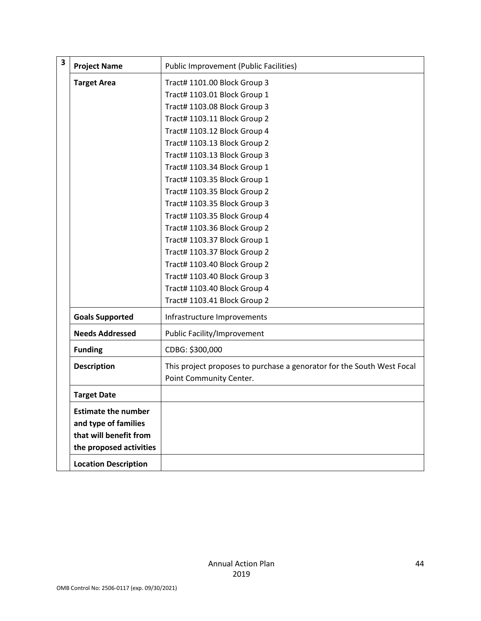| $\overline{\mathbf{3}}$ | <b>Project Name</b>         | <b>Public Improvement (Public Facilities)</b>                          |
|-------------------------|-----------------------------|------------------------------------------------------------------------|
|                         |                             |                                                                        |
|                         | <b>Target Area</b>          | Tract# 1101.00 Block Group 3                                           |
|                         |                             | Tract# 1103.01 Block Group 1                                           |
|                         |                             | Tract# 1103.08 Block Group 3                                           |
|                         |                             | Tract# 1103.11 Block Group 2                                           |
|                         |                             | Tract# 1103.12 Block Group 4                                           |
|                         |                             | Tract# 1103.13 Block Group 2                                           |
|                         |                             | Tract# 1103.13 Block Group 3                                           |
|                         |                             | Tract# 1103.34 Block Group 1                                           |
|                         |                             | Tract# 1103.35 Block Group 1                                           |
|                         |                             | Tract# 1103.35 Block Group 2                                           |
|                         |                             | Tract# 1103.35 Block Group 3                                           |
|                         |                             | Tract# 1103.35 Block Group 4                                           |
|                         |                             | Tract# 1103.36 Block Group 2                                           |
|                         |                             | Tract# 1103.37 Block Group 1                                           |
|                         |                             | Tract# 1103.37 Block Group 2                                           |
|                         |                             | Tract# 1103.40 Block Group 2                                           |
|                         |                             | Tract# 1103.40 Block Group 3                                           |
|                         |                             | Tract# 1103.40 Block Group 4                                           |
|                         |                             | Tract# 1103.41 Block Group 2                                           |
|                         | <b>Goals Supported</b>      | Infrastructure Improvements                                            |
|                         | <b>Needs Addressed</b>      | Public Facility/Improvement                                            |
|                         | <b>Funding</b>              | CDBG: \$300,000                                                        |
|                         | <b>Description</b>          | This project proposes to purchase a genorator for the South West Focal |
|                         |                             | Point Community Center.                                                |
|                         | <b>Target Date</b>          |                                                                        |
|                         | <b>Estimate the number</b>  |                                                                        |
|                         | and type of families        |                                                                        |
|                         | that will benefit from      |                                                                        |
|                         | the proposed activities     |                                                                        |
|                         |                             |                                                                        |
|                         | <b>Location Description</b> |                                                                        |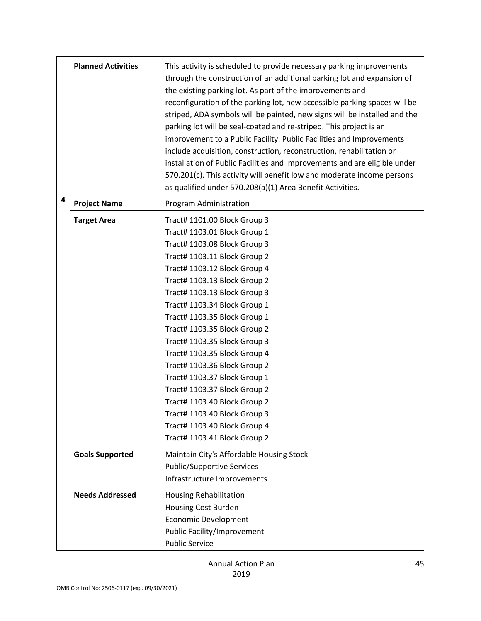|   | <b>Planned Activities</b> | This activity is scheduled to provide necessary parking improvements<br>through the construction of an additional parking lot and expansion of<br>the existing parking lot. As part of the improvements and<br>reconfiguration of the parking lot, new accessible parking spaces will be<br>striped, ADA symbols will be painted, new signs will be installed and the<br>parking lot will be seal-coated and re-striped. This project is an<br>improvement to a Public Facility. Public Facilities and Improvements<br>include acquisition, construction, reconstruction, rehabilitation or<br>installation of Public Facilities and Improvements and are eligible under<br>570.201(c). This activity will benefit low and moderate income persons<br>as qualified under 570.208(a)(1) Area Benefit Activities. |
|---|---------------------------|-----------------------------------------------------------------------------------------------------------------------------------------------------------------------------------------------------------------------------------------------------------------------------------------------------------------------------------------------------------------------------------------------------------------------------------------------------------------------------------------------------------------------------------------------------------------------------------------------------------------------------------------------------------------------------------------------------------------------------------------------------------------------------------------------------------------|
| 4 | <b>Project Name</b>       | Program Administration                                                                                                                                                                                                                                                                                                                                                                                                                                                                                                                                                                                                                                                                                                                                                                                          |
|   | <b>Target Area</b>        | Tract# 1101.00 Block Group 3<br>Tract# 1103.01 Block Group 1<br>Tract# 1103.08 Block Group 3<br>Tract# 1103.11 Block Group 2<br>Tract# 1103.12 Block Group 4<br>Tract# 1103.13 Block Group 2<br>Tract# 1103.13 Block Group 3<br>Tract# 1103.34 Block Group 1<br>Tract# 1103.35 Block Group 1<br>Tract# 1103.35 Block Group 2<br>Tract# 1103.35 Block Group 3<br>Tract# 1103.35 Block Group 4<br>Tract# 1103.36 Block Group 2<br>Tract# 1103.37 Block Group 1<br>Tract# 1103.37 Block Group 2<br>Tract# 1103.40 Block Group 2<br>Tract# 1103.40 Block Group 3<br>Tract# 1103.40 Block Group 4<br>Tract# 1103.41 Block Group 2                                                                                                                                                                                    |
|   | <b>Goals Supported</b>    | Maintain City's Affordable Housing Stock<br><b>Public/Supportive Services</b><br>Infrastructure Improvements                                                                                                                                                                                                                                                                                                                                                                                                                                                                                                                                                                                                                                                                                                    |
|   | <b>Needs Addressed</b>    | <b>Housing Rehabilitation</b><br><b>Housing Cost Burden</b><br><b>Economic Development</b><br>Public Facility/Improvement<br><b>Public Service</b>                                                                                                                                                                                                                                                                                                                                                                                                                                                                                                                                                                                                                                                              |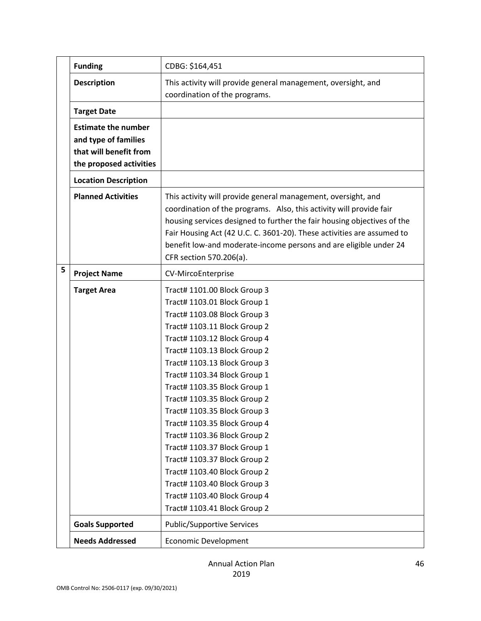|   | <b>Funding</b>                                                                                          | CDBG: \$164,451                                                                                                                                                                                                                                                                                                                                                                                                                                                                                                                                                                                                              |
|---|---------------------------------------------------------------------------------------------------------|------------------------------------------------------------------------------------------------------------------------------------------------------------------------------------------------------------------------------------------------------------------------------------------------------------------------------------------------------------------------------------------------------------------------------------------------------------------------------------------------------------------------------------------------------------------------------------------------------------------------------|
|   | <b>Description</b>                                                                                      | This activity will provide general management, oversight, and<br>coordination of the programs.                                                                                                                                                                                                                                                                                                                                                                                                                                                                                                                               |
|   | <b>Target Date</b>                                                                                      |                                                                                                                                                                                                                                                                                                                                                                                                                                                                                                                                                                                                                              |
|   | <b>Estimate the number</b><br>and type of families<br>that will benefit from<br>the proposed activities |                                                                                                                                                                                                                                                                                                                                                                                                                                                                                                                                                                                                                              |
|   | <b>Location Description</b>                                                                             |                                                                                                                                                                                                                                                                                                                                                                                                                                                                                                                                                                                                                              |
|   | <b>Planned Activities</b>                                                                               | This activity will provide general management, oversight, and<br>coordination of the programs. Also, this activity will provide fair<br>housing services designed to further the fair housing objectives of the<br>Fair Housing Act (42 U.C. C. 3601-20). These activities are assumed to<br>benefit low-and moderate-income persons and are eligible under 24<br>CFR section 570.206(a).                                                                                                                                                                                                                                    |
| 5 | <b>Project Name</b>                                                                                     | CV-MircoEnterprise                                                                                                                                                                                                                                                                                                                                                                                                                                                                                                                                                                                                           |
|   | <b>Target Area</b>                                                                                      | Tract# 1101.00 Block Group 3<br>Tract# 1103.01 Block Group 1<br>Tract# 1103.08 Block Group 3<br>Tract# 1103.11 Block Group 2<br>Tract# 1103.12 Block Group 4<br>Tract# 1103.13 Block Group 2<br>Tract# 1103.13 Block Group 3<br>Tract# 1103.34 Block Group 1<br>Tract# 1103.35 Block Group 1<br>Tract# 1103.35 Block Group 2<br>Tract# 1103.35 Block Group 3<br>Tract# 1103.35 Block Group 4<br>Tract# 1103.36 Block Group 2<br>Tract# 1103.37 Block Group 1<br>Tract# 1103.37 Block Group 2<br>Tract# 1103.40 Block Group 2<br>Tract# 1103.40 Block Group 3<br>Tract# 1103.40 Block Group 4<br>Tract# 1103.41 Block Group 2 |
|   | <b>Goals Supported</b>                                                                                  | <b>Public/Supportive Services</b>                                                                                                                                                                                                                                                                                                                                                                                                                                                                                                                                                                                            |
|   | <b>Needs Addressed</b>                                                                                  | <b>Economic Development</b>                                                                                                                                                                                                                                                                                                                                                                                                                                                                                                                                                                                                  |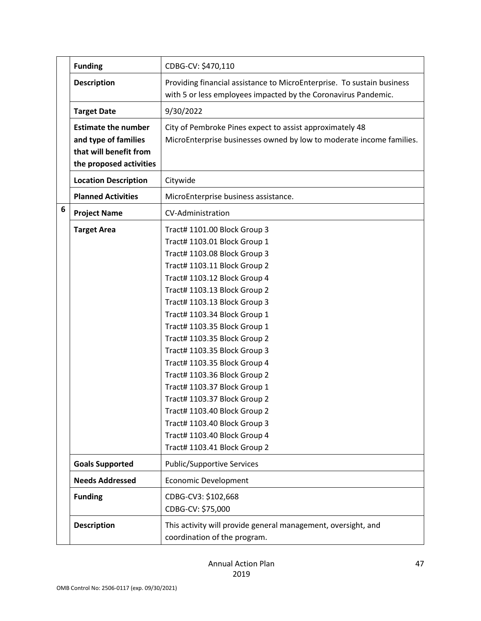|   | <b>Funding</b>                                                                                          | CDBG-CV: \$470,110                                                                                                                                                                                                                                                                                                                                                                                                                                                                                                                                                                                                           |
|---|---------------------------------------------------------------------------------------------------------|------------------------------------------------------------------------------------------------------------------------------------------------------------------------------------------------------------------------------------------------------------------------------------------------------------------------------------------------------------------------------------------------------------------------------------------------------------------------------------------------------------------------------------------------------------------------------------------------------------------------------|
|   | <b>Description</b>                                                                                      | Providing financial assistance to MicroEnterprise. To sustain business<br>with 5 or less employees impacted by the Coronavirus Pandemic.                                                                                                                                                                                                                                                                                                                                                                                                                                                                                     |
|   | <b>Target Date</b>                                                                                      | 9/30/2022                                                                                                                                                                                                                                                                                                                                                                                                                                                                                                                                                                                                                    |
|   | <b>Estimate the number</b><br>and type of families<br>that will benefit from<br>the proposed activities | City of Pembroke Pines expect to assist approximately 48<br>MicroEnterprise businesses owned by low to moderate income families.                                                                                                                                                                                                                                                                                                                                                                                                                                                                                             |
|   | <b>Location Description</b>                                                                             | Citywide                                                                                                                                                                                                                                                                                                                                                                                                                                                                                                                                                                                                                     |
|   | <b>Planned Activities</b>                                                                               | MicroEnterprise business assistance.                                                                                                                                                                                                                                                                                                                                                                                                                                                                                                                                                                                         |
| 6 | <b>Project Name</b>                                                                                     | CV-Administration                                                                                                                                                                                                                                                                                                                                                                                                                                                                                                                                                                                                            |
|   | <b>Target Area</b>                                                                                      | Tract# 1101.00 Block Group 3<br>Tract# 1103.01 Block Group 1<br>Tract# 1103.08 Block Group 3<br>Tract# 1103.11 Block Group 2<br>Tract# 1103.12 Block Group 4<br>Tract# 1103.13 Block Group 2<br>Tract# 1103.13 Block Group 3<br>Tract# 1103.34 Block Group 1<br>Tract# 1103.35 Block Group 1<br>Tract# 1103.35 Block Group 2<br>Tract# 1103.35 Block Group 3<br>Tract# 1103.35 Block Group 4<br>Tract# 1103.36 Block Group 2<br>Tract# 1103.37 Block Group 1<br>Tract# 1103.37 Block Group 2<br>Tract# 1103.40 Block Group 2<br>Tract# 1103.40 Block Group 3<br>Tract# 1103.40 Block Group 4<br>Tract# 1103.41 Block Group 2 |
|   | <b>Goals Supported</b>                                                                                  | <b>Public/Supportive Services</b>                                                                                                                                                                                                                                                                                                                                                                                                                                                                                                                                                                                            |
|   | <b>Needs Addressed</b>                                                                                  | <b>Economic Development</b>                                                                                                                                                                                                                                                                                                                                                                                                                                                                                                                                                                                                  |
|   | <b>Funding</b>                                                                                          | CDBG-CV3: \$102,668<br>CDBG-CV: \$75,000                                                                                                                                                                                                                                                                                                                                                                                                                                                                                                                                                                                     |
|   | <b>Description</b>                                                                                      | This activity will provide general management, oversight, and<br>coordination of the program.                                                                                                                                                                                                                                                                                                                                                                                                                                                                                                                                |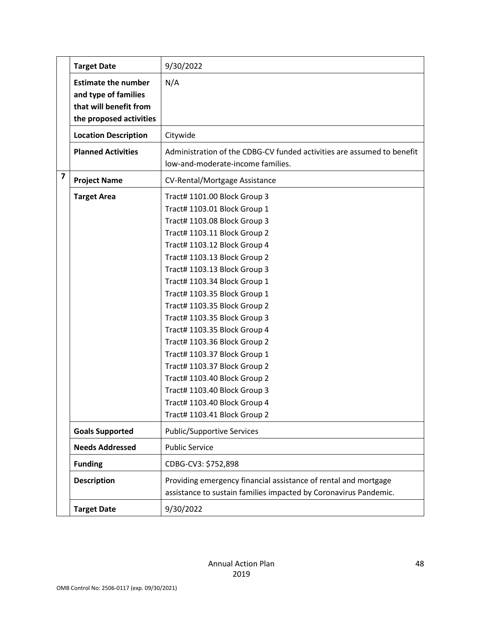|                         | <b>Target Date</b>                                 | 9/30/2022                                                                                                                           |
|-------------------------|----------------------------------------------------|-------------------------------------------------------------------------------------------------------------------------------------|
|                         | <b>Estimate the number</b><br>and type of families | N/A                                                                                                                                 |
|                         | that will benefit from                             |                                                                                                                                     |
|                         | the proposed activities                            |                                                                                                                                     |
|                         | <b>Location Description</b>                        | Citywide                                                                                                                            |
|                         | <b>Planned Activities</b>                          | Administration of the CDBG-CV funded activities are assumed to benefit<br>low-and-moderate-income families.                         |
| $\overline{\mathbf{z}}$ | <b>Project Name</b>                                | <b>CV-Rental/Mortgage Assistance</b>                                                                                                |
|                         | <b>Target Area</b>                                 | Tract# 1101.00 Block Group 3                                                                                                        |
|                         |                                                    | Tract# 1103.01 Block Group 1                                                                                                        |
|                         |                                                    | Tract# 1103.08 Block Group 3                                                                                                        |
|                         |                                                    | Tract# 1103.11 Block Group 2                                                                                                        |
|                         |                                                    | Tract# 1103.12 Block Group 4                                                                                                        |
|                         |                                                    | Tract# 1103.13 Block Group 2                                                                                                        |
|                         |                                                    | Tract# 1103.13 Block Group 3                                                                                                        |
|                         |                                                    | Tract# 1103.34 Block Group 1                                                                                                        |
|                         |                                                    | Tract# 1103.35 Block Group 1                                                                                                        |
|                         |                                                    | Tract# 1103.35 Block Group 2                                                                                                        |
|                         |                                                    | Tract# 1103.35 Block Group 3                                                                                                        |
|                         |                                                    | Tract# 1103.35 Block Group 4                                                                                                        |
|                         |                                                    | Tract# 1103.36 Block Group 2                                                                                                        |
|                         |                                                    | Tract# 1103.37 Block Group 1                                                                                                        |
|                         |                                                    | Tract# 1103.37 Block Group 2                                                                                                        |
|                         |                                                    | Tract# 1103.40 Block Group 2                                                                                                        |
|                         |                                                    | Tract# 1103.40 Block Group 3                                                                                                        |
|                         |                                                    | Tract# 1103.40 Block Group 4                                                                                                        |
|                         |                                                    | Tract# 1103.41 Block Group 2                                                                                                        |
|                         | <b>Goals Supported</b>                             | <b>Public/Supportive Services</b>                                                                                                   |
|                         | <b>Needs Addressed</b>                             | <b>Public Service</b>                                                                                                               |
|                         | <b>Funding</b>                                     | CDBG-CV3: \$752,898                                                                                                                 |
|                         | <b>Description</b>                                 | Providing emergency financial assistance of rental and mortgage<br>assistance to sustain families impacted by Coronavirus Pandemic. |
|                         | <b>Target Date</b>                                 | 9/30/2022                                                                                                                           |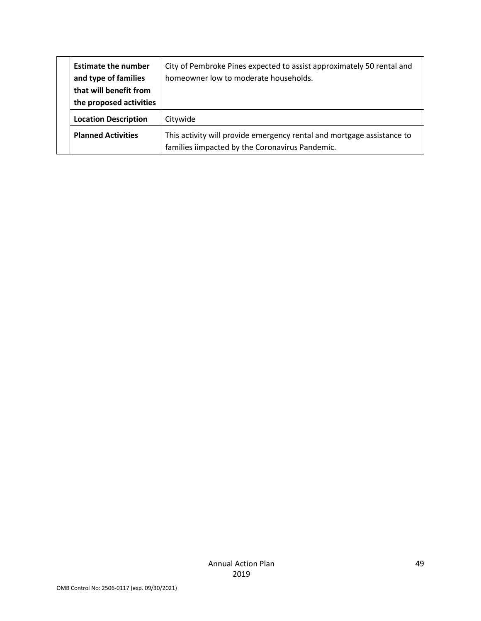| <b>Estimate the number</b><br>and type of families<br>that will benefit from<br>the proposed activities | City of Pembroke Pines expected to assist approximately 50 rental and<br>homeowner low to moderate households.            |
|---------------------------------------------------------------------------------------------------------|---------------------------------------------------------------------------------------------------------------------------|
| <b>Location Description</b>                                                                             | Citywide                                                                                                                  |
| <b>Planned Activities</b>                                                                               | This activity will provide emergency rental and mortgage assistance to<br>families iimpacted by the Coronavirus Pandemic. |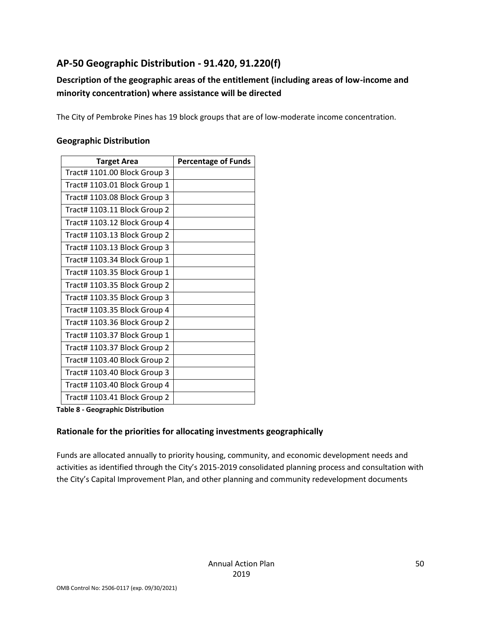# **AP-50 Geographic Distribution - 91.420, 91.220(f)**

# **Description of the geographic areas of the entitlement (including areas of low-income and minority concentration) where assistance will be directed**

The City of Pembroke Pines has 19 block groups that are of low-moderate income concentration.

#### **Geographic Distribution**

| <b>Target Area</b>           | <b>Percentage of Funds</b> |
|------------------------------|----------------------------|
| Tract# 1101.00 Block Group 3 |                            |
| Tract# 1103.01 Block Group 1 |                            |
| Tract# 1103.08 Block Group 3 |                            |
| Tract# 1103.11 Block Group 2 |                            |
| Tract# 1103.12 Block Group 4 |                            |
| Tract# 1103.13 Block Group 2 |                            |
| Tract# 1103.13 Block Group 3 |                            |
| Tract# 1103.34 Block Group 1 |                            |
| Tract# 1103.35 Block Group 1 |                            |
| Tract# 1103.35 Block Group 2 |                            |
| Tract# 1103.35 Block Group 3 |                            |
| Tract# 1103.35 Block Group 4 |                            |
| Tract# 1103.36 Block Group 2 |                            |
| Tract# 1103.37 Block Group 1 |                            |
| Tract# 1103.37 Block Group 2 |                            |
| Tract# 1103.40 Block Group 2 |                            |
| Tract# 1103.40 Block Group 3 |                            |
| Tract# 1103.40 Block Group 4 |                            |
| Tract# 1103.41 Block Group 2 |                            |

**Table 8 - Geographic Distribution** 

#### **Rationale for the priorities for allocating investments geographically**

Funds are allocated annually to priority housing, community, and economic development needs and activities as identified through the City's 2015-2019 consolidated planning process and consultation with the City's Capital Improvement Plan, and other planning and community redevelopment documents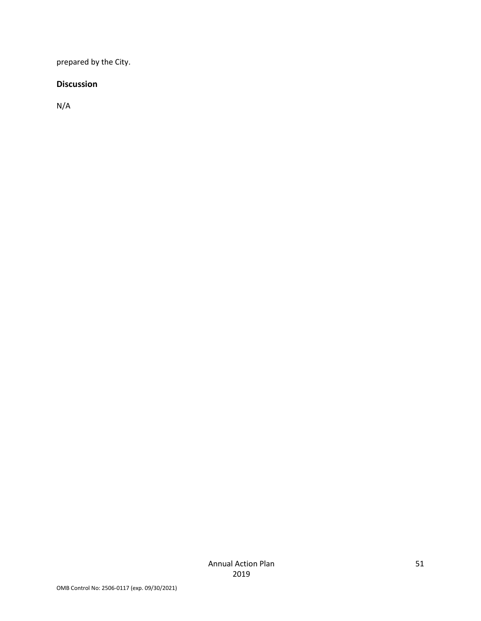prepared by the City.

#### **Discussion**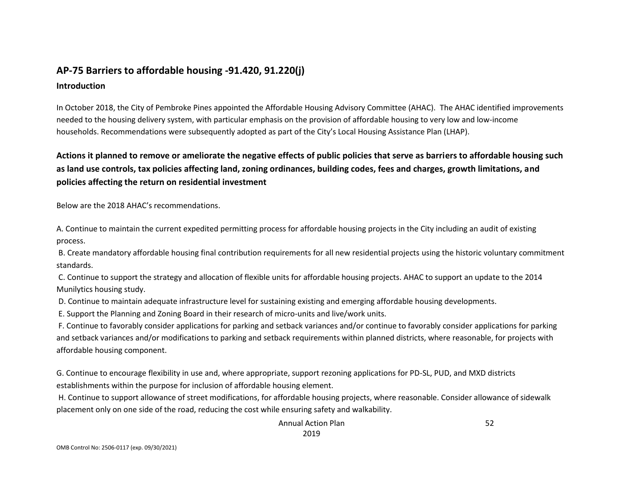# **AP-75 Barriers to affordable housing -91.420, 91.220(j) Introduction**

In October 2018, the City of Pembroke Pines appointed the Affordable Housing Advisory Committee (AHAC). The AHAC identified improvements needed to the housing delivery system, with particular emphasis on the provision of affordable housing to very low and low-income households. Recommendations were subsequently adopted as part of the City's Local Housing Assistance Plan (LHAP).

# **Actions it planned to remove or ameliorate the negative effects of public policies that serve as barriers to affordable housing such as land use controls, tax policies affecting land, zoning ordinances, building codes, fees and charges, growth limitations, and policies affecting the return on residential investment**

Below are the 2018 AHAC's recommendations.

A. Continue to maintain the current expedited permitting process for affordable housing projects in the City including an audit of existing process.

B. Create mandatory affordable housing final contribution requirements for all new residential projects using the historic voluntary commitment standards.

C. Continue to support the strategy and allocation of flexible units for affordable housing projects. AHAC to support an update to the 2014 Munilytics housing study.

D. Continue to maintain adequate infrastructure level for sustaining existing and emerging affordable housing developments.

E. Support the Planning and Zoning Board in their research of micro-units and live/work units.

F. Continue to favorably consider applications for parking and setback variances and/or continue to favorably consider applications for parking and setback variances and/or modifications to parking and setback requirements within planned districts, where reasonable, for projects with affordable housing component.

G. Continue to encourage flexibility in use and, where appropriate, support rezoning applications for PD-SL, PUD, and MXD districts establishments within the purpose for inclusion of affordable housing element.

H. Continue to support allowance of street modifications, for affordable housing projects, where reasonable. Consider allowance of sidewalk placement only on one side of the road, reducing the cost while ensuring safety and walkability.

> Annual Action Plan 2019

52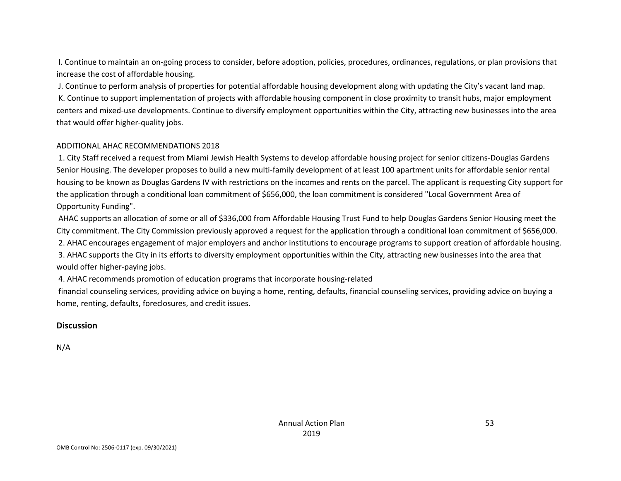I. Continue to maintain an on-going process to consider, before adoption, policies, procedures, ordinances, regulations, or plan provisions that increase the cost of affordable housing.

J. Continue to perform analysis of properties for potential affordable housing development along with updating the City's vacant land map.

K. Continue to support implementation of projects with affordable housing component in close proximity to transit hubs, major employment centers and mixed-use developments. Continue to diversify employment opportunities within the City, attracting new businesses into the area that would offer higher-quality jobs.

#### ADDITIONAL AHAC RECOMMENDATIONS 2018

1. City Staff received a request from Miami Jewish Health Systems to develop affordable housing project for senior citizens-Douglas Gardens Senior Housing. The developer proposes to build a new multi-family development of at least 100 apartment units for affordable senior rental housing to be known as Douglas Gardens IV with restrictions on the incomes and rents on the parcel. The applicant is requesting City support for the application through a conditional loan commitment of \$656,000, the loan commitment is considered "Local Government Area of Opportunity Funding".

AHAC supports an allocation of some or all of \$336,000 from Affordable Housing Trust Fund to help Douglas Gardens Senior Housing meet the City commitment. The City Commission previously approved a request for the application through a conditional loan commitment of \$656,000. 2. AHAC encourages engagement of major employers and anchor institutions to encourage programs to support creation of affordable housing. 3. AHAC supports the City in its efforts to diversity employment opportunities within the City, attracting new businesses into the area that would offer higher-paying jobs.

4. AHAC recommends promotion of education programs that incorporate housing-related

financial counseling services, providing advice on buying a home, renting, defaults, financial counseling services, providing advice on buying a home, renting, defaults, foreclosures, and credit issues.

#### **Discussion**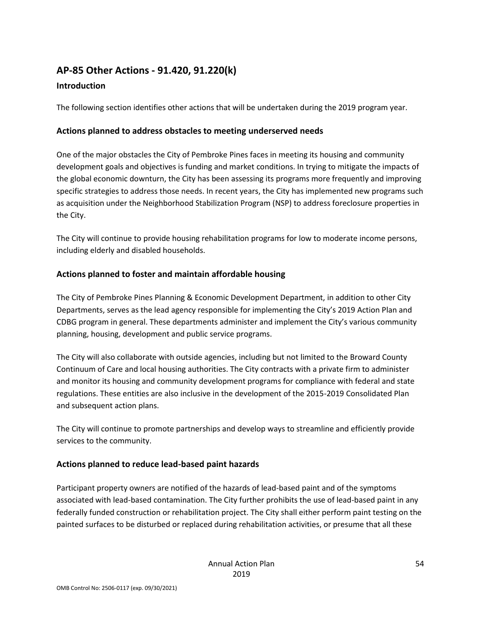# **AP-85 Other Actions - 91.420, 91.220(k)**

#### **Introduction**

The following section identifies other actions that will be undertaken during the 2019 program year.

#### **Actions planned to address obstacles to meeting underserved needs**

One of the major obstacles the City of Pembroke Pines faces in meeting its housing and community development goals and objectives is funding and market conditions. In trying to mitigate the impacts of the global economic downturn, the City has been assessing its programs more frequently and improving specific strategies to address those needs. In recent years, the City has implemented new programs such as acquisition under the Neighborhood Stabilization Program (NSP) to address foreclosure properties in the City.

The City will continue to provide housing rehabilitation programs for low to moderate income persons, including elderly and disabled households.

# **Actions planned to foster and maintain affordable housing**

The City of Pembroke Pines Planning & Economic Development Department, in addition to other City Departments, serves as the lead agency responsible for implementing the City's 2019 Action Plan and CDBG program in general. These departments administer and implement the City's various community planning, housing, development and public service programs.

The City will also collaborate with outside agencies, including but not limited to the Broward County Continuum of Care and local housing authorities. The City contracts with a private firm to administer and monitor its housing and community development programs for compliance with federal and state regulations. These entities are also inclusive in the development of the 2015-2019 Consolidated Plan and subsequent action plans.

The City will continue to promote partnerships and develop ways to streamline and efficiently provide services to the community.

# **Actions planned to reduce lead-based paint hazards**

Participant property owners are notified of the hazards of lead-based paint and of the symptoms associated with lead-based contamination. The City further prohibits the use of lead-based paint in any federally funded construction or rehabilitation project. The City shall either perform paint testing on the painted surfaces to be disturbed or replaced during rehabilitation activities, or presume that all these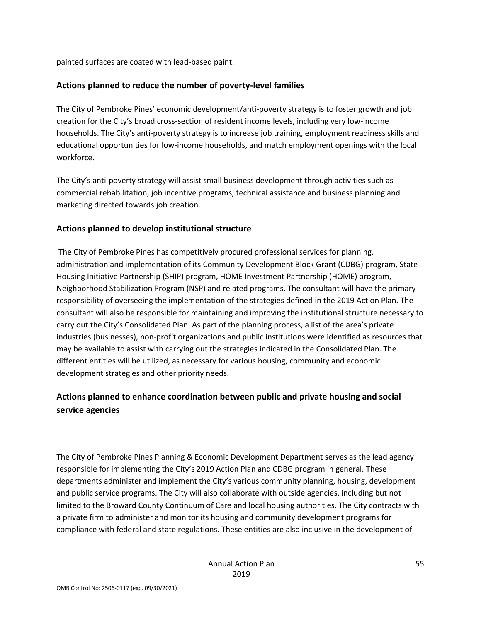painted surfaces are coated with lead-based paint.

#### **Actions planned to reduce the number of poverty-level families**

The City of Pembroke Pines' economic development/anti-poverty strategy is to foster growth and job creation for the City's broad cross-section of resident income levels, including very low-income households. The City's anti-poverty strategy is to increase job training, employment readiness skills and educational opportunities for low-income households, and match employment openings with the local workforce.

The City's anti-poverty strategy will assist small business development through activities such as commercial rehabilitation, job incentive programs, technical assistance and business planning and marketing directed towards job creation.

#### **Actions planned to develop institutional structure**

The City of Pembroke Pines has competitively procured professional services for planning, administration and implementation of its Community Development Block Grant (CDBG) program, State Housing Initiative Partnership (SHIP) program, HOME Investment Partnership (HOME) program, Neighborhood Stabilization Program (NSP) and related programs. The consultant will have the primary responsibility of overseeing the implementation of the strategies defined in the 2019 Action Plan. The consultant will also be responsible for maintaining and improving the institutional structure necessary to carry out the City's Consolidated Plan. As part of the planning process, a list of the area's private industries (businesses), non-profit organizations and public institutions were identified as resources that may be available to assist with carrying out the strategies indicated in the Consolidated Plan. The different entities will be utilized, as necessary for various housing, community and economic development strategies and other priority needs.

#### **Actions planned to enhance coordination between public and private housing and social service agencies**

The City of Pembroke Pines Planning & Economic Development Department serves as the lead agency responsible for implementing the City's 2019 Action Plan and CDBG program in general. These departments administer and implement the City's various community planning, housing, development and public service programs. The City will also collaborate with outside agencies, including but not limited to the Broward County Continuum of Care and local housing authorities. The City contracts with a private firm to administer and monitor its housing and community development programs for compliance with federal and state regulations. These entities are also inclusive in the development of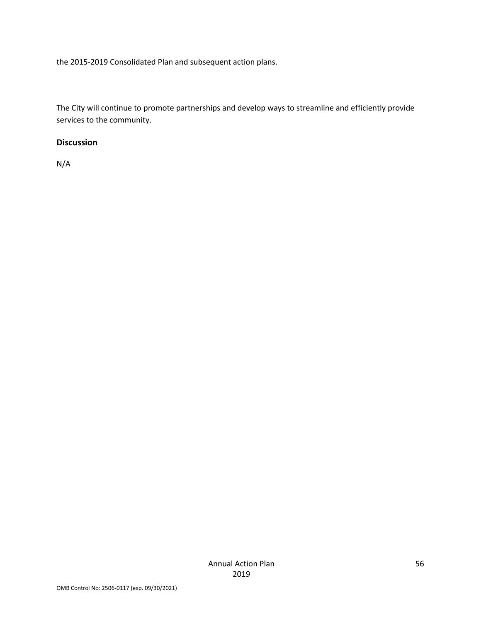the 2015-2019 Consolidated Plan and subsequent action plans.

The City will continue to promote partnerships and develop ways to streamline and efficiently provide services to the community.

#### **Discussion**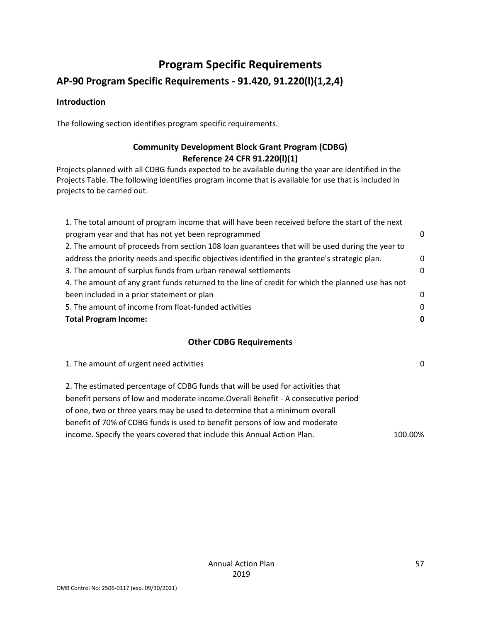# **Program Specific Requirements**

# **AP-90 Program Specific Requirements - 91.420, 91.220(l)(1,2,4)**

#### **Introduction**

The following section identifies program specific requirements.

# **Community Development Block Grant Program (CDBG) Reference 24 CFR 91.220(l)(1)**

Projects planned with all CDBG funds expected to be available during the year are identified in the Projects Table. The following identifies program income that is available for use that is included in projects to be carried out.

| 1. The total amount of program income that will have been received before the start of the next   |          |  |
|---------------------------------------------------------------------------------------------------|----------|--|
| program year and that has not yet been reprogrammed                                               | $\Omega$ |  |
| 2. The amount of proceeds from section 108 loan guarantees that will be used during the year to   |          |  |
| address the priority needs and specific objectives identified in the grantee's strategic plan.    | 0        |  |
| 3. The amount of surplus funds from urban renewal settlements                                     | $\Omega$ |  |
| 4. The amount of any grant funds returned to the line of credit for which the planned use has not |          |  |
| been included in a prior statement or plan                                                        | $\Omega$ |  |
| 5. The amount of income from float-funded activities                                              | $\Omega$ |  |
| <b>Total Program Income:</b>                                                                      |          |  |
|                                                                                                   |          |  |

#### **Other CDBG Requirements**

1. The amount of urgent need activities 0 2. The estimated percentage of CDBG funds that will be used for activities that benefit persons of low and moderate income.Overall Benefit - A consecutive period of one, two or three years may be used to determine that a minimum overall benefit of 70% of CDBG funds is used to benefit persons of low and moderate income. Specify the years covered that include this Annual Action Plan. 100.00%